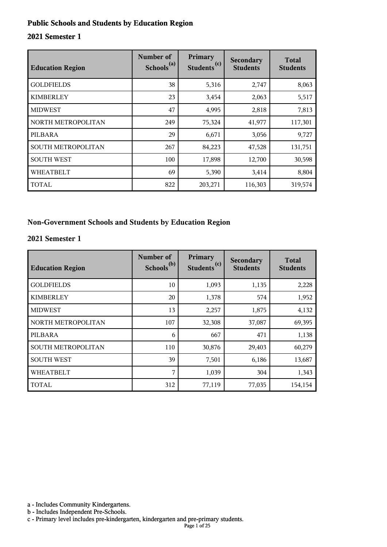#### **Public Schools and Students by Education Region**

#### **2021 Semester 1**

| <b>Education Region</b>   | Number of<br>Schools <sup>(a)</sup> | Primary<br>(c)<br><b>Students</b> | Secondary<br><b>Students</b> | <b>Total</b><br><b>Students</b> |
|---------------------------|-------------------------------------|-----------------------------------|------------------------------|---------------------------------|
| <b>GOLDFIELDS</b>         | 38                                  | 5,316                             | 2,747                        | 8,063                           |
| <b>KIMBERLEY</b>          | 23                                  | 3,454                             | 2,063                        | 5,517                           |
| <b>MIDWEST</b>            | 47                                  | 4,995                             | 2,818                        | 7,813                           |
| NORTH METROPOLITAN        | 249                                 | 75,324                            | 41,977                       | 117,301                         |
| PILBARA                   | 29                                  | 6,671                             | 3,056                        | 9,727                           |
| <b>SOUTH METROPOLITAN</b> | 267                                 | 84,223                            | 47,528                       | 131,751                         |
| <b>SOUTH WEST</b>         | 100                                 | 17,898                            | 12,700                       | 30,598                          |
| <b>WHEATBELT</b>          | 69                                  | 5,390                             | 3,414                        | 8,804                           |
| <b>TOTAL</b>              | 822                                 | 203,271                           | 116,303                      | 319,574                         |

#### **Non-Government Schools and Students by Education Region**

#### **2021 Semester 1**

| <b>Education Region</b> | Number of<br>Schools <sup>(b)</sup> | Primary<br>Students <sup>(c)</sup> | <b>Secondary</b><br><b>Students</b> | <b>Total</b><br><b>Students</b> |
|-------------------------|-------------------------------------|------------------------------------|-------------------------------------|---------------------------------|
| <b>GOLDFIELDS</b>       | 10                                  | 1,093                              | 1,135                               | 2,228                           |
| <b>KIMBERLEY</b>        | 20                                  | 1,378                              | 574                                 | 1,952                           |
| <b>MIDWEST</b>          | 13                                  | 2,257                              | 1,875                               | 4,132                           |
| NORTH METROPOLITAN      | 107                                 | 32,308                             | 37,087                              | 69,395                          |
| PILBARA                 | 6                                   | 667                                | 471                                 | 1,138                           |
| SOUTH METROPOLITAN      | 110                                 | 30,876                             | 29,403                              | 60,279                          |
| <b>SOUTH WEST</b>       | 39                                  | 7,501                              | 6,186                               | 13,687                          |
| <b>WHEATBELT</b>        | 7                                   | 1,039                              | 304                                 | 1,343                           |
| <b>TOTAL</b>            | 312                                 | 77,119                             | 77,035                              | 154,154                         |

a - Includes Community Kindergartens.

b - Includes Independent Pre-Schools.

c - Primary level includes pre-kindergarten, kindergarten and pre-primary students.

Page 1 of 25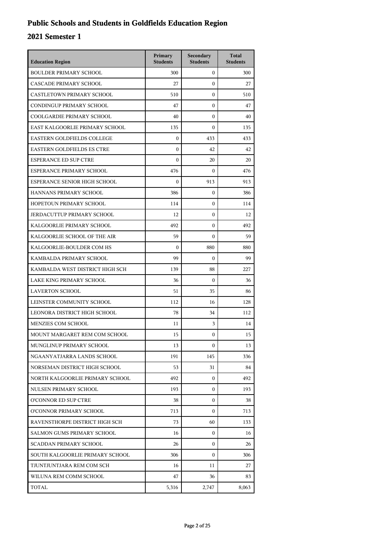## **Public Schools and Students in Goldfields Education Region**

| <b>Education Region</b>           | Primary<br><b>Students</b> | Secondary<br><b>Students</b> | <b>Total</b><br><b>Students</b> |
|-----------------------------------|----------------------------|------------------------------|---------------------------------|
| <b>BOULDER PRIMARY SCHOOL</b>     | 300                        | $\overline{0}$               | 300                             |
| CASCADE PRIMARY SCHOOL            | 27                         | $\mathbf{0}$                 | 27                              |
| CASTLETOWN PRIMARY SCHOOL         | 510                        | $\mathbf{0}$                 | 510                             |
| CONDINGUP PRIMARY SCHOOL          | 47                         | $\mathbf{0}$                 | 47                              |
| COOLGARDIE PRIMARY SCHOOL         | 40                         | $\mathbf{0}$                 | 40                              |
| EAST KALGOORLIE PRIMARY SCHOOL    | 135                        | $\mathbf{0}$                 | 135                             |
| <b>EASTERN GOLDFIELDS COLLEGE</b> | $\mathbf{0}$               | 433                          | 433                             |
| <b>EASTERN GOLDFIELDS ES CTRE</b> | $\mathbf{0}$               | 42                           | 42                              |
| <b>ESPERANCE ED SUP CTRE</b>      | $\mathbf{0}$               | 20                           | 20                              |
| ESPERANCE PRIMARY SCHOOL          | 476                        | $\Omega$                     | 476                             |
| ESPERANCE SENIOR HIGH SCHOOL      | $\mathbf{0}$               | 913                          | 913                             |
| HANNANS PRIMARY SCHOOL            | 386                        | $\mathbf{0}$                 | 386                             |
| HOPETOUN PRIMARY SCHOOL           | 114                        | $\mathbf{0}$                 | 114                             |
| <b>JERDACUTTUP PRIMARY SCHOOL</b> | 12                         | $\mathbf{0}$                 | 12                              |
| KALGOORLIE PRIMARY SCHOOL         | 492                        | $\mathbf{0}$                 | 492                             |
| KALGOORLIE SCHOOL OF THE AIR      | 59                         | $\mathbf{0}$                 | 59                              |
| KALGOORLIE-BOULDER COM HS         | $\mathbf{0}$               | 880                          | 880                             |
| KAMBALDA PRIMARY SCHOOL           | 99                         | $\mathbf{0}$                 | 99                              |
| KAMBALDA WEST DISTRICT HIGH SCH   | 139                        | 88                           | 227                             |
| LAKE KING PRIMARY SCHOOL          | 36                         | $\mathbf{0}$                 | 36                              |
| <b>LAVERTON SCHOOL</b>            | 51                         | 35                           | 86                              |
| LEINSTER COMMUNITY SCHOOL         | 112                        | 16                           | 128                             |
| LEONORA DISTRICT HIGH SCHOOL      | 78                         | 34                           | 112                             |
| MENZIES COM SCHOOL                | 11                         | 3                            | 14                              |
| MOUNT MARGARET REM COM SCHOOL     | 15                         | $\mathbf{0}$                 | 15                              |
| MUNGLINUP PRIMARY SCHOOL          | 13                         | 0                            | 13                              |
| NGAANYATJARRA LANDS SCHOOL        | 191                        | 145                          | 336                             |
| NORSEMAN DISTRICT HIGH SCHOOL     | 53                         | 31                           | 84                              |
| NORTH KALGOORLIE PRIMARY SCHOOL   | 492                        | $\mathbf{0}$                 | 492                             |
| NULSEN PRIMARY SCHOOL             | 193                        | $\Omega$                     | 193                             |
| O'CONNOR ED SUP CTRE              | 38                         | $\mathbf{0}$                 | 38                              |
| O'CONNOR PRIMARY SCHOOL           | 713                        | $\Omega$                     | 713                             |
| RAVENSTHORPE DISTRICT HIGH SCH    | 73                         | 60                           | 133                             |
| SALMON GUMS PRIMARY SCHOOL        | 16                         | $\mathbf{0}$                 | 16                              |
| <b>SCADDAN PRIMARY SCHOOL</b>     | 26                         | $\Omega$                     | 26                              |
| SOUTH KALGOORLIE PRIMARY SCHOOL   | 306                        | $\Omega$                     | 306                             |
| TJUNTJUNTJARA REM COM SCH         | 16                         | 11                           | 27                              |
| WILUNA REM COMM SCHOOL            | 47                         | 36                           | 83                              |
| TOTAL                             | 5,316                      | 2,747                        | 8,063                           |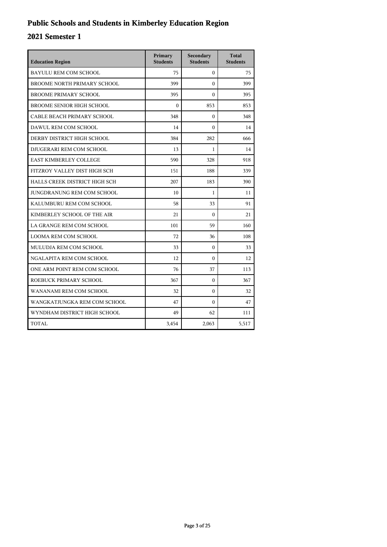## **Public Schools and Students in Kimberley Education Region**

| <b>Education Region</b>          | Primary<br><b>Students</b> | Secondary<br><b>Students</b> | <b>Total</b><br><b>Students</b> |
|----------------------------------|----------------------------|------------------------------|---------------------------------|
| <b>BAYULU REM COM SCHOOL</b>     | 75                         | $\mathbf{0}$                 | 75                              |
| BROOME NORTH PRIMARY SCHOOL      | 399                        | $\theta$                     | 399                             |
| <b>BROOME PRIMARY SCHOOL</b>     | 395                        | $\mathbf{0}$                 | 395                             |
| <b>BROOME SENIOR HIGH SCHOOL</b> | $\Omega$                   | 853                          | 853                             |
| CABLE BEACH PRIMARY SCHOOL       | 348                        | $\mathbf{0}$                 | 348                             |
| DAWUL REM COM SCHOOL             | 14                         | $\theta$                     | 14                              |
| DERBY DISTRICT HIGH SCHOOL       | 384                        | 282                          | 666                             |
| DJUGERARI REM COM SCHOOL         | 13                         | $\mathbf{1}$                 | 14                              |
| <b>EAST KIMBERLEY COLLEGE</b>    | 590                        | 328                          | 918                             |
| FITZROY VALLEY DIST HIGH SCH     | 151                        | 188                          | 339                             |
| HALLS CREEK DISTRICT HIGH SCH    | 207                        | 183                          | 390                             |
| JUNGDRANUNG REM COM SCHOOL       | 10                         | 1                            | 11                              |
| KALUMBURU REM COM SCHOOL         | 58                         | 33                           | 91                              |
| KIMBERLEY SCHOOL OF THE AIR      | 21                         | $\theta$                     | 21                              |
| LA GRANGE REM COM SCHOOL         | 101                        | 59                           | 160                             |
| <b>LOOMA REM COM SCHOOL</b>      | 72                         | 36                           | 108                             |
| MULUDJA REM COM SCHOOL           | 33                         | $\mathbf{0}$                 | 33                              |
| NGALAPITA REM COM SCHOOL         | 12                         | $\Omega$                     | 12                              |
| ONE ARM POINT REM COM SCHOOL     | 76                         | 37                           | 113                             |
| ROEBUCK PRIMARY SCHOOL           | 367                        | $\Omega$                     | 367                             |
| WANANAMI REM COM SCHOOL          | 32                         | $\mathbf{0}$                 | 32                              |
| WANGKATJUNGKA REM COM SCHOOL     | 47                         | $\Omega$                     | 47                              |
| WYNDHAM DISTRICT HIGH SCHOOL     | 49                         | 62                           | 111                             |
| TOTAL                            | 3,454                      | 2,063                        | 5,517                           |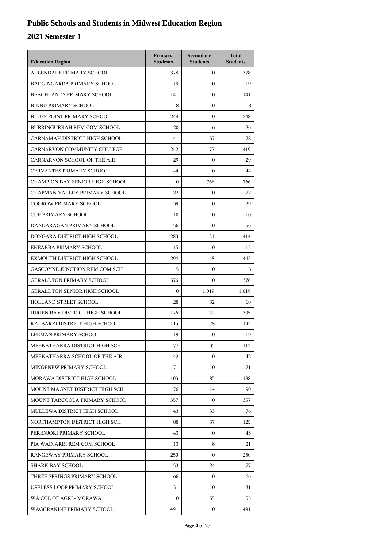## **Public Schools and Students in Midwest Education Region**

| <b>Education Region</b>             | Primary<br><b>Students</b> | Secondary<br><b>Students</b> | <b>Total</b><br><b>Students</b> |
|-------------------------------------|----------------------------|------------------------------|---------------------------------|
| ALLENDALE PRIMARY SCHOOL            | 378                        | $\mathbf{0}$                 | 378                             |
| <b>BADGINGARRA PRIMARY SCHOOL</b>   | 19                         | $\mathbf{0}$                 | 19                              |
| <b>BEACHLANDS PRIMARY SCHOOL</b>    | 141                        | $\mathbf{0}$                 | 141                             |
| <b>BINNU PRIMARY SCHOOL</b>         | 8                          | $\mathbf{0}$                 | 8                               |
| <b>BLUFF POINT PRIMARY SCHOOL</b>   | 248                        | $\mathbf{0}$                 | 248                             |
| BURRINGURRAH REM COM SCHOOL         | 20                         | 6                            | 26                              |
| CARNAMAH DISTRICT HIGH SCHOOL       | 41                         | 37                           | 78                              |
| CARNARVON COMMUNITY COLLEGE         | 242                        | 177                          | 419                             |
| CARNARVON SCHOOL OF THE AIR         | 29                         | $\mathbf{0}$                 | 29                              |
| <b>CERVANTES PRIMARY SCHOOL</b>     | 44                         | $\mathbf{0}$                 | 44                              |
| CHAMPION BAY SENIOR HIGH SCHOOL     | $\Omega$                   | 766                          | 766                             |
| CHAPMAN VALLEY PRIMARY SCHOOL       | 22                         | $\mathbf{0}$                 | 22                              |
| <b>COOROW PRIMARY SCHOOL</b>        | 39                         | $\mathbf{0}$                 | 39                              |
| <b>CUE PRIMARY SCHOOL</b>           | 10                         | $\mathbf{0}$                 | 10                              |
| DANDARAGAN PRIMARY SCHOOL           | 56                         | $\mathbf{0}$                 | 56                              |
| DONGARA DISTRICT HIGH SCHOOL        | 283                        | 131                          | 414                             |
| ENEABBA PRIMARY SCHOOL              | 15                         | $\mathbf{0}$                 | 15                              |
| EXMOUTH DISTRICT HIGH SCHOOL        | 294                        | 148                          | 442                             |
| GASCOYNE JUNCTION REM COM SCH       | 5                          | $\mathbf{0}$                 | 5                               |
| <b>GERALDTON PRIMARY SCHOOL</b>     | 376                        | $\Omega$                     | 376                             |
| <b>GERALDTON SENIOR HIGH SCHOOL</b> | $\mathbf{0}$               | 1,019                        | 1,019                           |
| HOLLAND STREET SCHOOL               | 28                         | 32                           | 60                              |
| JURIEN BAY DISTRICT HIGH SCHOOL     | 176                        | 129                          | 305                             |
| KALBARRI DISTRICT HIGH SCHOOL       | 115                        | 78                           | 193                             |
| LEEMAN PRIMARY SCHOOL               | 19                         | $\mathbf{0}$                 | 19                              |
| MEEKATHARRA DISTRICT HIGH SCH       | 77                         | 35                           | 112                             |
| MEEKATHARRA SCHOOL OF THE AIR       | 42                         | $\mathbf{0}$                 | 42                              |
| MINGENEW PRIMARY SCHOOL             | 71                         | $\mathbf{0}$                 | 71                              |
| MORAWA DISTRICT HIGH SCHOOL         | 103                        | 85                           | 188                             |
| MOUNT MAGNET DISTRICT HIGH SCH      | 76                         | 14                           | 90                              |
| MOUNT TARCOOLA PRIMARY SCHOOL       | 357                        | $\mathbf{0}$                 | 357                             |
| MULLEWA DISTRICT HIGH SCHOOL        | 43                         | 33                           | 76                              |
| NORTHAMPTON DISTRICT HIGH SCH       | 88                         | 37                           | 125                             |
| PERENJORI PRIMARY SCHOOL            | 43                         | $\mathbf{0}$                 | 43                              |
| PIA WADJARRI REM COM SCHOOL         | 13                         | 8                            | 21                              |
| RANGEWAY PRIMARY SCHOOL             | 250                        | $\mathbf{0}$                 | 250                             |
| SHARK BAY SCHOOL                    | 53                         | 24                           | 77                              |
| THREE SPRINGS PRIMARY SCHOOL        | 66                         | $\mathbf{0}$                 | 66                              |
| USELESS LOOP PRIMARY SCHOOL         | 31                         | $\mathbf{0}$                 | 31                              |
| WA COL OF AGRI - MORAWA             | $\Omega$                   | 55                           | 55                              |
| WAGGRAKINE PRIMARY SCHOOL           | 491                        | 0                            | 491                             |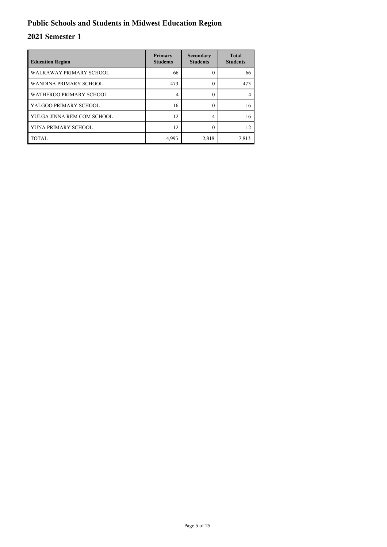## **Public Schools and Students in Midwest Education Region**

| <b>Education Region</b>    | Primary<br><b>Students</b> | Secondary<br><b>Students</b> | <b>Total</b><br><b>Students</b> |
|----------------------------|----------------------------|------------------------------|---------------------------------|
| WALKAWAY PRIMARY SCHOOL    | 66                         | 0                            | 66                              |
| WANDINA PRIMARY SCHOOL     | 473                        | 0                            | 473                             |
| WATHEROO PRIMARY SCHOOL    | 4                          | 0                            |                                 |
| YALGOO PRIMARY SCHOOL      | 16                         | 0                            | 16                              |
| YULGA JINNA REM COM SCHOOL | 12                         | 4                            | 16                              |
| YUNA PRIMARY SCHOOL        | 12                         | ſ                            | 12                              |
| TOTAL                      | 4,995                      | 2,818                        | 7,813                           |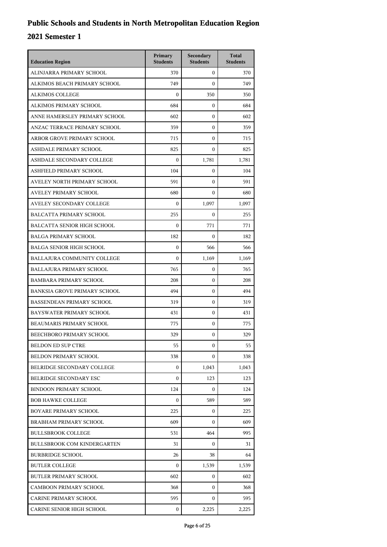| <b>Education Region</b>             | Primary<br><b>Students</b> | Secondary<br><b>Students</b> | <b>Total</b><br><b>Students</b> |
|-------------------------------------|----------------------------|------------------------------|---------------------------------|
| ALINJARRA PRIMARY SCHOOL            | 370                        | $\mathbf{0}$                 | 370                             |
| ALKIMOS BEACH PRIMARY SCHOOL        | 749                        | $\Omega$                     | 749                             |
| <b>ALKIMOS COLLEGE</b>              | $\boldsymbol{0}$           | 350                          | 350                             |
| ALKIMOS PRIMARY SCHOOL              | 684                        | $\mathbf{0}$                 | 684                             |
| ANNE HAMERSLEY PRIMARY SCHOOL       | 602                        | 0                            | 602                             |
| ANZAC TERRACE PRIMARY SCHOOL        | 359                        | $\mathbf{0}$                 | 359                             |
| ARBOR GROVE PRIMARY SCHOOL          | 715                        | $\mathbf{0}$                 | 715                             |
| ASHDALE PRIMARY SCHOOL              | 825                        | $\mathbf{0}$                 | 825                             |
| ASHDALE SECONDARY COLLEGE           | $\boldsymbol{0}$           | 1,781                        | 1,781                           |
| ASHFIELD PRIMARY SCHOOL             | 104                        | $\mathbf{0}$                 | 104                             |
| AVELEY NORTH PRIMARY SCHOOL         | 591                        | $\mathbf{0}$                 | 591                             |
| <b>AVELEY PRIMARY SCHOOL</b>        | 680                        | $\Omega$                     | 680                             |
| AVELEY SECONDARY COLLEGE            | $\boldsymbol{0}$           | 1,097                        | 1,097                           |
| <b>BALCATTA PRIMARY SCHOOL</b>      | 255                        | $\mathbf{0}$                 | 255                             |
| <b>BALCATTA SENIOR HIGH SCHOOL</b>  | $\Omega$                   | 771                          | 771                             |
| <b>BALGA PRIMARY SCHOOL</b>         | 182                        | $\mathbf{0}$                 | 182                             |
| <b>BALGA SENIOR HIGH SCHOOL</b>     | $\mathbf{0}$               | 566                          | 566                             |
| BALLAJURA COMMUNITY COLLEGE         | $\boldsymbol{0}$           | 1,169                        | 1,169                           |
| <b>BALLAJURA PRIMARY SCHOOL</b>     | 765                        | $\mathbf{0}$                 | 765                             |
| <b>BAMBARA PRIMARY SCHOOL</b>       | 208                        | $\mathbf{0}$                 | 208                             |
| <b>BANKSIA GROVE PRIMARY SCHOOL</b> | 494                        | $\mathbf{0}$                 | 494                             |
| <b>BASSENDEAN PRIMARY SCHOOL</b>    | 319                        | $\mathbf{0}$                 | 319                             |
| BAYSWATER PRIMARY SCHOOL            | 431                        | $\mathbf{0}$                 | 431                             |
| BEAUMARIS PRIMARY SCHOOL            | 775                        | $\mathbf{0}$                 | 775                             |
| BEECHBORO PRIMARY SCHOOL            | 329                        | $\mathbf{0}$                 | 329                             |
| <b>BELDON ED SUP CTRE</b>           | 55                         | $\boldsymbol{0}$             | 55                              |
| <b>BELDON PRIMARY SCHOOL</b>        | 338                        | $\mathbf{0}$                 | 338                             |
| BELRIDGE SECONDARY COLLEGE          | $\boldsymbol{0}$           | 1,043                        | 1,043                           |
| BELRIDGE SECONDARY ESC              | $\boldsymbol{0}$           | 123                          | 123                             |
| <b>BINDOON PRIMARY SCHOOL</b>       | 124                        | $\mathbf{0}$                 | 124                             |
| <b>BOB HAWKE COLLEGE</b>            | $\Omega$                   | 589                          | 589                             |
| BOYARE PRIMARY SCHOOL               | 225                        | $\mathbf{0}$                 | 225                             |
| BRABHAM PRIMARY SCHOOL              | 609                        | $\Omega$                     | 609                             |
| <b>BULLSBROOK COLLEGE</b>           | 531                        | 464                          | 995                             |
| <b>BULLSBROOK COM KINDERGARTEN</b>  | 31                         | $\mathbf{0}$                 | 31                              |
| <b>BURBRIDGE SCHOOL</b>             | 26                         | 38                           | 64                              |
| <b>BUTLER COLLEGE</b>               | 0                          | 1,539                        | 1,539                           |
| <b>BUTLER PRIMARY SCHOOL</b>        | 602                        | $\mathbf{0}$                 | 602                             |
| <b>CAMBOON PRIMARY SCHOOL</b>       | 368                        | $\mathbf{0}$                 | 368                             |
| CARINE PRIMARY SCHOOL               | 595                        | 0                            | 595                             |
| CARINE SENIOR HIGH SCHOOL           | 0                          | 2,225                        | 2,225                           |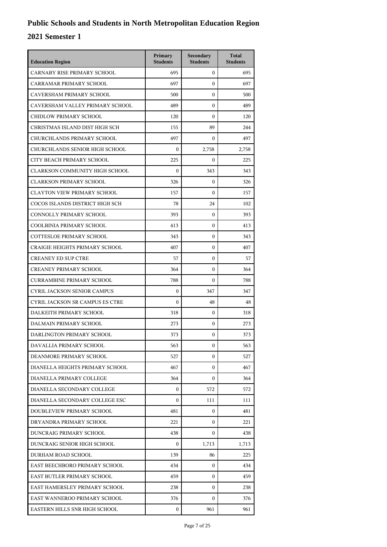| <b>Education Region</b>            | Primary<br><b>Students</b> | Secondary<br><b>Students</b> | <b>Total</b><br><b>Students</b> |
|------------------------------------|----------------------------|------------------------------|---------------------------------|
| CARNABY RISE PRIMARY SCHOOL        | 695                        | $\mathbf{0}$                 | 695                             |
| CARRAMAR PRIMARY SCHOOL            | 697                        | $\mathbf{0}$                 | 697                             |
| CAVERSHAM PRIMARY SCHOOL           | 500                        | $\mathbf{0}$                 | 500                             |
| CAVERSHAM VALLEY PRIMARY SCHOOL    | 489                        | $\boldsymbol{0}$             | 489                             |
| CHIDLOW PRIMARY SCHOOL             | 120                        | $\boldsymbol{0}$             | 120                             |
| CHRISTMAS ISLAND DIST HIGH SCH     | 155                        | 89                           | 244                             |
| CHURCHLANDS PRIMARY SCHOOL         | 497                        | $\boldsymbol{0}$             | 497                             |
| CHURCHLANDS SENIOR HIGH SCHOOL     | $\boldsymbol{0}$           | 2,758                        | 2,758                           |
| CITY BEACH PRIMARY SCHOOL          | 225                        | $\boldsymbol{0}$             | 225                             |
| CLARKSON COMMUNITY HIGH SCHOOL     | $\boldsymbol{0}$           | 343                          | 343                             |
| <b>CLARKSON PRIMARY SCHOOL</b>     | 326                        | $\mathbf{0}$                 | 326                             |
| CLAYTON VIEW PRIMARY SCHOOL        | 157                        | $\mathbf{0}$                 | 157                             |
| COCOS ISLANDS DISTRICT HIGH SCH    | 78                         | 24                           | 102                             |
| CONNOLLY PRIMARY SCHOOL            | 393                        | $\boldsymbol{0}$             | 393                             |
| COOLBINIA PRIMARY SCHOOL           | 413                        | $\boldsymbol{0}$             | 413                             |
| <b>COTTESLOE PRIMARY SCHOOL</b>    | 343                        | $\boldsymbol{0}$             | 343                             |
| CRAIGIE HEIGHTS PRIMARY SCHOOL     | 407                        | $\mathbf{0}$                 | 407                             |
| <b>CREANEY ED SUP CTRE</b>         | 57                         | $\boldsymbol{0}$             | 57                              |
| <b>CREANEY PRIMARY SCHOOL</b>      | 364                        | $\boldsymbol{0}$             | 364                             |
| <b>CURRAMBINE PRIMARY SCHOOL</b>   | 788                        | $\boldsymbol{0}$             | 788                             |
| <b>CYRIL JACKSON SENIOR CAMPUS</b> | $\boldsymbol{0}$           | 347                          | 347                             |
| CYRIL JACKSON SR CAMPUS ES CTRE    | $\theta$                   | 48                           | 48                              |
| DALKEITH PRIMARY SCHOOL            | 318                        | $\mathbf{0}$                 | 318                             |
| DALMAIN PRIMARY SCHOOL             | 273                        | $\boldsymbol{0}$             | 273                             |
| DARLINGTON PRIMARY SCHOOL          | 373                        | $\boldsymbol{0}$             | 373                             |
| DAVALLIA PRIMARY SCHOOL            | 563                        | 0                            | 563                             |
| DEANMORE PRIMARY SCHOOL            | 527                        | $\Omega$                     | 527                             |
| DIANELLA HEIGHTS PRIMARY SCHOOL    | 467                        | $\mathbf{0}$                 | 467                             |
| DIANELLA PRIMARY COLLEGE           | 364                        | 0                            | 364                             |
| DIANELLA SECONDARY COLLEGE         | $\mathbf{0}$               | 572                          | 572                             |
| DIANELLA SECONDARY COLLEGE ESC     | $\Omega$                   | 111                          | 111                             |
| DOUBLEVIEW PRIMARY SCHOOL          | 481                        | $\Omega$                     | 481                             |
| DRYANDRA PRIMARY SCHOOL            | 221                        | $\mathbf{0}$                 | 221                             |
| DUNCRAIG PRIMARY SCHOOL            | 438                        | 0                            | 438                             |
| DUNCRAIG SENIOR HIGH SCHOOL        | $\mathbf{0}$               | 1,713                        | 1,713                           |
| DURHAM ROAD SCHOOL                 | 139                        | 86                           | 225                             |
| EAST BEECHBORO PRIMARY SCHOOL      | 434                        | $\mathbf{0}$                 | 434                             |
| EAST BUTLER PRIMARY SCHOOL         | 459                        | $\mathbf{0}$                 | 459                             |
| EAST HAMERSLEY PRIMARY SCHOOL      | 238                        | 0                            | 238                             |
| EAST WANNEROO PRIMARY SCHOOL       | 376                        | 0                            | 376                             |
| EASTERN HILLS SNR HIGH SCHOOL      | $\mathbf{0}$               | 961                          | 961                             |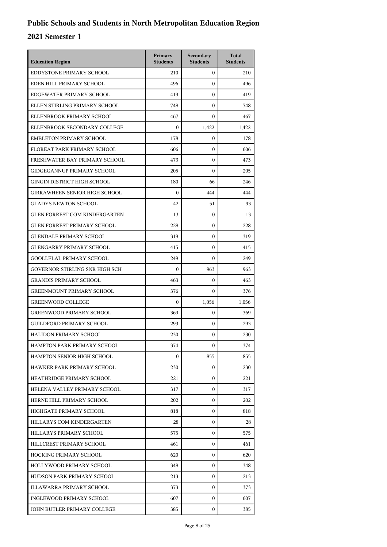| <b>Education Region</b>              | Primary<br><b>Students</b> | Secondary<br><b>Students</b> | <b>Total</b><br><b>Students</b> |
|--------------------------------------|----------------------------|------------------------------|---------------------------------|
| EDDYSTONE PRIMARY SCHOOL             | 210                        | $\mathbf{0}$                 | 210                             |
| EDEN HILL PRIMARY SCHOOL             | 496                        | $\mathbf{0}$                 | 496                             |
| EDGEWATER PRIMARY SCHOOL             | 419                        | $\mathbf{0}$                 | 419                             |
| ELLEN STIRLING PRIMARY SCHOOL        | 748                        | $\boldsymbol{0}$             | 748                             |
| ELLENBROOK PRIMARY SCHOOL            | 467                        | $\boldsymbol{0}$             | 467                             |
| ELLENBROOK SECONDARY COLLEGE         | $\boldsymbol{0}$           | 1,422                        | 1,422                           |
| <b>EMBLETON PRIMARY SCHOOL</b>       | 178                        | $\mathbf{0}$                 | 178                             |
| FLOREAT PARK PRIMARY SCHOOL          | 606                        | $\mathbf{0}$                 | 606                             |
| FRESHWATER BAY PRIMARY SCHOOL        | 473                        | $\boldsymbol{0}$             | 473                             |
| <b>GIDGEGANNUP PRIMARY SCHOOL</b>    | 205                        | $\boldsymbol{0}$             | 205                             |
| GINGIN DISTRICT HIGH SCHOOL          | 180                        | 66                           | 246                             |
| <b>GIRRAWHEEN SENIOR HIGH SCHOOL</b> | $\theta$                   | 444                          | 444                             |
| <b>GLADYS NEWTON SCHOOL</b>          | 42                         | 51                           | 93                              |
| <b>GLEN FORREST COM KINDERGARTEN</b> | 13                         | $\boldsymbol{0}$             | 13                              |
| <b>GLEN FORREST PRIMARY SCHOOL</b>   | 228                        | $\boldsymbol{0}$             | 228                             |
| <b>GLENDALE PRIMARY SCHOOL</b>       | 319                        | $\boldsymbol{0}$             | 319                             |
| <b>GLENGARRY PRIMARY SCHOOL</b>      | 415                        | $\mathbf{0}$                 | 415                             |
| <b>GOOLLELAL PRIMARY SCHOOL</b>      | 249                        | $\boldsymbol{0}$             | 249                             |
| GOVERNOR STIRLING SNR HIGH SCH       | $\boldsymbol{0}$           | 963                          | 963                             |
| <b>GRANDIS PRIMARY SCHOOL</b>        | 463                        | $\mathbf{0}$                 | 463                             |
| <b>GREENMOUNT PRIMARY SCHOOL</b>     | 376                        | $\mathbf{0}$                 | 376                             |
| <b>GREENWOOD COLLEGE</b>             | $\boldsymbol{0}$           | 1,056                        | 1,056                           |
| <b>GREENWOOD PRIMARY SCHOOL</b>      | 369                        | $\boldsymbol{0}$             | 369                             |
| <b>GUILDFORD PRIMARY SCHOOL</b>      | 293                        | $\mathbf{0}$                 | 293                             |
| HALIDON PRIMARY SCHOOL               | 230                        | $\mathbf{0}$                 | 230                             |
| HAMPTON PARK PRIMARY SCHOOL          | 374                        | $\mathbf{0}$                 | 374                             |
| HAMPTON SENIOR HIGH SCHOOL           | $\Omega$                   | 855                          | 855                             |
| HAWKER PARK PRIMARY SCHOOL           | 230                        | 0                            | 230                             |
| HEATHRIDGE PRIMARY SCHOOL            | 221                        | 0                            | 221                             |
| HELENA VALLEY PRIMARY SCHOOL         | 317                        | 0                            | 317                             |
| HERNE HILL PRIMARY SCHOOL            | 202                        | $\mathbf{0}$                 | 202                             |
| HIGHGATE PRIMARY SCHOOL              | 818                        | $\mathbf{0}$                 | 818                             |
| HILLARYS COM KINDERGARTEN            | 28                         | $\mathbf{0}$                 | 28                              |
| HILLARYS PRIMARY SCHOOL              | 575                        | 0                            | 575                             |
| HILLCREST PRIMARY SCHOOL             | 461                        | 0                            | 461                             |
| HOCKING PRIMARY SCHOOL               | 620                        | $\mathbf{0}$                 | 620                             |
| HOLLYWOOD PRIMARY SCHOOL             | 348                        | $\mathbf{0}$                 | 348                             |
| HUDSON PARK PRIMARY SCHOOL           | 213                        | $\mathbf{0}$                 | 213                             |
| ILLAWARRA PRIMARY SCHOOL             | 373                        | 0                            | 373                             |
| INGLEWOOD PRIMARY SCHOOL             | 607                        | $\mathbf{0}$                 | 607                             |
| JOHN BUTLER PRIMARY COLLEGE          | 385                        | $\mathbf{0}$                 | 385                             |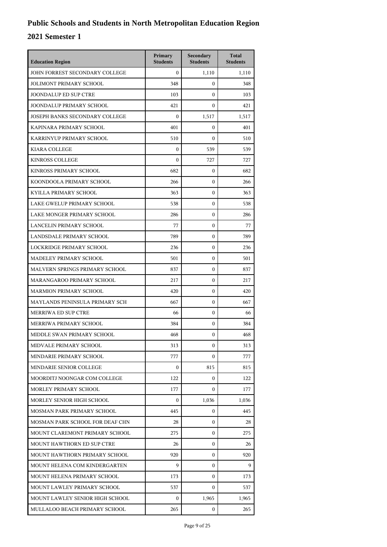| <b>Education Region</b>         | Primary<br><b>Students</b> | Secondary<br><b>Students</b> | <b>Total</b><br><b>Students</b> |
|---------------------------------|----------------------------|------------------------------|---------------------------------|
| JOHN FORREST SECONDARY COLLEGE  | $\Omega$                   | 1,110                        | 1,110                           |
| <b>JOLIMONT PRIMARY SCHOOL</b>  | 348                        | $\mathbf{0}$                 | 348                             |
| <b>JOONDALUP ED SUP CTRE</b>    | 103                        | $\mathbf{0}$                 | 103                             |
| JOONDALUP PRIMARY SCHOOL        | 421                        | $\mathbf{0}$                 | 421                             |
| JOSEPH BANKS SECONDARY COLLEGE  | $\boldsymbol{0}$           | 1,517                        | 1,517                           |
| KAPINARA PRIMARY SCHOOL         | 401                        | $\mathbf{0}$                 | 401                             |
| KARRINYUP PRIMARY SCHOOL        | 510                        | $\mathbf{0}$                 | 510                             |
| KIARA COLLEGE                   | $\boldsymbol{0}$           | 539                          | 539                             |
| <b>KINROSS COLLEGE</b>          | $\boldsymbol{0}$           | 727                          | 727                             |
| KINROSS PRIMARY SCHOOL          | 682                        | $\mathbf{0}$                 | 682                             |
| KOONDOOLA PRIMARY SCHOOL        | 266                        | $\mathbf{0}$                 | 266                             |
| KYILLA PRIMARY SCHOOL           | 363                        | $\mathbf{0}$                 | 363                             |
| LAKE GWELUP PRIMARY SCHOOL      | 538                        | $\mathbf{0}$                 | 538                             |
| LAKE MONGER PRIMARY SCHOOL      | 286                        | $\boldsymbol{0}$             | 286                             |
| LANCELIN PRIMARY SCHOOL         | 77                         | $\boldsymbol{0}$             | 77                              |
| LANDSDALE PRIMARY SCHOOL        | 789                        | $\boldsymbol{0}$             | 789                             |
| LOCKRIDGE PRIMARY SCHOOL        | 236                        | $\mathbf{0}$                 | 236                             |
| MADELEY PRIMARY SCHOOL          | 501                        | $\boldsymbol{0}$             | 501                             |
| MALVERN SPRINGS PRIMARY SCHOOL  | 837                        | $\boldsymbol{0}$             | 837                             |
| MARANGAROO PRIMARY SCHOOL       | 217                        | $\boldsymbol{0}$             | 217                             |
| <b>MARMION PRIMARY SCHOOL</b>   | 420                        | $\boldsymbol{0}$             | 420                             |
| MAYLANDS PENINSULA PRIMARY SCH  | 667                        | $\mathbf{0}$                 | 667                             |
| MERRIWA ED SUP CTRE             | 66                         | $\mathbf{0}$                 | 66                              |
| MERRIWA PRIMARY SCHOOL          | 384                        | $\boldsymbol{0}$             | 384                             |
| MIDDLE SWAN PRIMARY SCHOOL      | 468                        | $\boldsymbol{0}$             | 468                             |
| MIDVALE PRIMARY SCHOOL          | 313                        | 0                            | 313                             |
| MINDARIE PRIMARY SCHOOL         | 777                        | $\Omega$                     | 777                             |
| MINDARIE SENIOR COLLEGE         | $\mathbf{0}$               | 815                          | 815                             |
| MOORDITJ NOONGAR COM COLLEGE    | 122                        | $\mathbf{0}$                 | 122                             |
| MORLEY PRIMARY SCHOOL           | 177                        | 0                            | 177                             |
| MORLEY SENIOR HIGH SCHOOL       | $\Omega$                   | 1,036                        | 1,036                           |
| MOSMAN PARK PRIMARY SCHOOL      | 445                        | 0                            | 445                             |
| MOSMAN PARK SCHOOL FOR DEAF CHN | 28                         | 0                            | 28                              |
| MOUNT CLAREMONT PRIMARY SCHOOL  | 275                        | $\mathbf{0}$                 | 275                             |
| MOUNT HAWTHORN ED SUP CTRE      | 26                         | 0                            | 26                              |
| MOUNT HAWTHORN PRIMARY SCHOOL   | 920                        | 0                            | 920                             |
| MOUNT HELENA COM KINDERGARTEN   | 9                          | $\mathbf{0}$                 | 9                               |
| MOUNT HELENA PRIMARY SCHOOL     | 173                        | 0                            | 173                             |
| MOUNT LAWLEY PRIMARY SCHOOL     | 537                        | $\mathbf{0}$                 | 537                             |
| MOUNT LAWLEY SENIOR HIGH SCHOOL | 0                          | 1,965                        | 1,965                           |
| MULLALOO BEACH PRIMARY SCHOOL   | 265                        | 0                            | 265                             |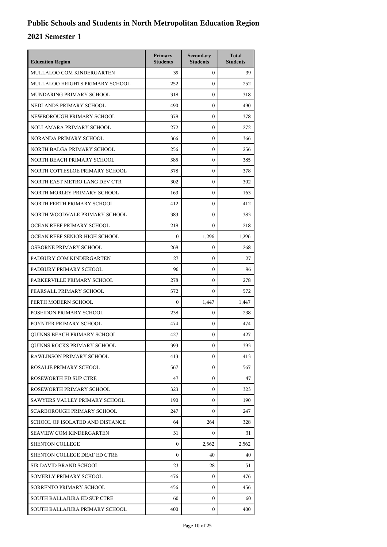| <b>Education Region</b>         | Primary<br><b>Students</b> | Secondary<br><b>Students</b> | <b>Total</b><br><b>Students</b> |
|---------------------------------|----------------------------|------------------------------|---------------------------------|
| MULLALOO COM KINDERGARTEN       | 39                         | $\mathbf{0}$                 | 39                              |
| MULLALOO HEIGHTS PRIMARY SCHOOL | 252                        | $\mathbf{0}$                 | 252                             |
| MUNDARING PRIMARY SCHOOL        | 318                        | $\boldsymbol{0}$             | 318                             |
| NEDLANDS PRIMARY SCHOOL         | 490                        | $\boldsymbol{0}$             | 490                             |
| NEWBOROUGH PRIMARY SCHOOL       | 378                        | $\boldsymbol{0}$             | 378                             |
| NOLLAMARA PRIMARY SCHOOL        | 272                        | $\boldsymbol{0}$             | 272                             |
| NORANDA PRIMARY SCHOOL          | 366                        | $\boldsymbol{0}$             | 366                             |
| NORTH BALGA PRIMARY SCHOOL      | 256                        | $\boldsymbol{0}$             | 256                             |
| NORTH BEACH PRIMARY SCHOOL      | 385                        | $\boldsymbol{0}$             | 385                             |
| NORTH COTTESLOE PRIMARY SCHOOL  | 378                        | 0                            | 378                             |
| NORTH EAST METRO LANG DEV CTR   | 302                        | $\boldsymbol{0}$             | 302                             |
| NORTH MORLEY PRIMARY SCHOOL     | 163                        | $\boldsymbol{0}$             | 163                             |
| NORTH PERTH PRIMARY SCHOOL      | 412                        | $\boldsymbol{0}$             | 412                             |
| NORTH WOODVALE PRIMARY SCHOOL   | 383                        | $\boldsymbol{0}$             | 383                             |
| OCEAN REEF PRIMARY SCHOOL       | 218                        | $\mathbf{0}$                 | 218                             |
| OCEAN REEF SENIOR HIGH SCHOOL   | $\boldsymbol{0}$           | 1,296                        | 1,296                           |
| OSBORNE PRIMARY SCHOOL          | 268                        | $\mathbf{0}$                 | 268                             |
| PADBURY COM KINDERGARTEN        | 27                         | $\boldsymbol{0}$             | 27                              |
| PADBURY PRIMARY SCHOOL          | 96                         | $\boldsymbol{0}$             | 96                              |
| PARKERVILLE PRIMARY SCHOOL      | 278                        | 0                            | 278                             |
| PEARSALL PRIMARY SCHOOL         | 572                        | $\mathbf{0}$                 | 572                             |
| PERTH MODERN SCHOOL             | $\boldsymbol{0}$           | 1,447                        | 1,447                           |
| POSEIDON PRIMARY SCHOOL         | 238                        | $\boldsymbol{0}$             | 238                             |
| POYNTER PRIMARY SCHOOL          | 474                        | $\boldsymbol{0}$             | 474                             |
| QUINNS BEACH PRIMARY SCHOOL     | 427                        | 0                            | 427                             |
| QUINNS ROCKS PRIMARY SCHOOL     | 393                        | 0                            | 393                             |
| RAWLINSON PRIMARY SCHOOL        | 413                        | $\mathbf{0}$                 | 413                             |
| ROSALIE PRIMARY SCHOOL          | 567                        | $\mathbf{0}$                 | 567                             |
| ROSEWORTH ED SUP CTRE           | 47                         | $\mathbf{0}$                 | 47                              |
| ROSEWORTH PRIMARY SCHOOL        | 323                        | 0                            | 323                             |
| SAWYERS VALLEY PRIMARY SCHOOL   | 190                        | 0                            | 190                             |
| SCARBOROUGH PRIMARY SCHOOL      | 247                        | $\mathbf{0}$                 | 247                             |
| SCHOOL OF ISOLATED AND DISTANCE | 64                         | 264                          | 328                             |
| <b>SEAVIEW COM KINDERGARTEN</b> | 31                         | 0                            | 31                              |
| <b>SHENTON COLLEGE</b>          | $\mathbf{0}$               | 2,562                        | 2,562                           |
| SHENTON COLLEGE DEAF ED CTRE    | 0                          | 40                           | 40                              |
| SIR DAVID BRAND SCHOOL          | 23                         | 28                           | 51                              |
| SOMERLY PRIMARY SCHOOL          | 476                        | $\mathbf{0}$                 | 476                             |
| SORRENTO PRIMARY SCHOOL         | 456                        | 0                            | 456                             |
| SOUTH BALLAJURA ED SUP CTRE     | 60                         | 0                            | 60                              |
| SOUTH BALLAJURA PRIMARY SCHOOL  | 400                        | $\mathbf{0}$                 | 400                             |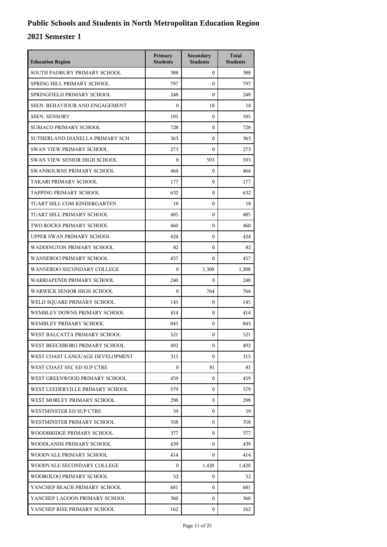| <b>Education Region</b>               | Primary<br><b>Students</b> | Secondary<br><b>Students</b> | <b>Total</b><br><b>Students</b> |
|---------------------------------------|----------------------------|------------------------------|---------------------------------|
| SOUTH PADBURY PRIMARY SCHOOL          | 388                        | $\mathbf{0}$                 | 388                             |
| SPRING HILL PRIMARY SCHOOL            | 797                        | $\mathbf{0}$                 | 797                             |
| SPRINGFIELD PRIMARY SCHOOL            | 248                        | $\mathbf{0}$                 | 248                             |
| <b>SSEN: BEHAVIOUR AND ENGAGEMENT</b> | $\boldsymbol{0}$           | 18                           | 18                              |
| <b>SSEN: SENSORY</b>                  | 105                        | $\boldsymbol{0}$             | 105                             |
| SUBIACO PRIMARY SCHOOL                | 728                        | $\boldsymbol{0}$             | 728                             |
| SUTHERLAND DIANELLA PRIMARY SCH       | 363                        | $\mathbf{0}$                 | 363                             |
| <b>SWAN VIEW PRIMARY SCHOOL</b>       | 273                        | $\mathbf{0}$                 | 273                             |
| SWAN VIEW SENIOR HIGH SCHOOL          | $\boldsymbol{0}$           | 593                          | 593                             |
| SWANBOURNE PRIMARY SCHOOL             | 464                        | $\boldsymbol{0}$             | 464                             |
| TAKARI PRIMARY SCHOOL                 | 177                        | $\mathbf{0}$                 | 177                             |
| TAPPING PRIMARY SCHOOL                | 632                        | $\mathbf{0}$                 | 632                             |
| TUART HILL COM KINDERGARTEN           | 18                         | $\boldsymbol{0}$             | 18                              |
| TUART HILL PRIMARY SCHOOL             | 485                        | $\boldsymbol{0}$             | 485                             |
| TWO ROCKS PRIMARY SCHOOL              | 460                        | $\boldsymbol{0}$             | 460                             |
| UPPER SWAN PRIMARY SCHOOL             | 424                        | $\mathbf{0}$                 | 424                             |
| WADDINGTON PRIMARY SCHOOL             | 82                         | $\mathbf{0}$                 | 82                              |
| WANNEROO PRIMARY SCHOOL               | 457                        | $\mathbf{0}$                 | 457                             |
| WANNEROO SECONDARY COLLEGE            | $\boldsymbol{0}$           | 1,308                        | 1,308                           |
| WARRIAPENDI PRIMARY SCHOOL            | 240                        | $\Omega$                     | 240                             |
| WARWICK SENIOR HIGH SCHOOL            | $\boldsymbol{0}$           | 764                          | 764                             |
| WELD SQUARE PRIMARY SCHOOL            | 145                        | $\mathbf{0}$                 | 145                             |
| WEMBLEY DOWNS PRIMARY SCHOOL          | 414                        | $\mathbf{0}$                 | 414                             |
| WEMBLEY PRIMARY SCHOOL                | 845                        | $\mathbf{0}$                 | 845                             |
| WEST BALCATTA PRIMARY SCHOOL          | 521                        | $\mathbf{0}$                 | 521                             |
| WEST BEECHBORO PRIMARY SCHOOL         | 492                        | 0                            | 492                             |
| WEST COAST LANGUAGE DEVELOPMENT       | 315                        | $\Omega$                     | 315                             |
| WEST COAST SEC ED SUP CTRE            | $\Omega$                   | 81                           | 81                              |
| WEST GREENWOOD PRIMARY SCHOOL         | 459                        | $\mathbf{0}$                 | 459                             |
| WEST LEEDERVILLE PRIMARY SCHOOL       | 579                        | 0                            | 579                             |
| WEST MORLEY PRIMARY SCHOOL            | 298                        | 0                            | 298                             |
| WESTMINSTER ED SUP CTRE               | 59                         | $\mathbf{0}$                 | 59                              |
| WESTMINSTER PRIMARY SCHOOL            | 358                        | 0                            | 358                             |
| WOODBRIDGE PRIMARY SCHOOL             | 377                        | $\mathbf{0}$                 | 377                             |
| WOODLANDS PRIMARY SCHOOL              | 439                        | 0                            | 439                             |
| WOODVALE PRIMARY SCHOOL               | 414                        | $\mathbf{0}$                 | 414                             |
| WOODVALE SECONDARY COLLEGE            | $\Omega$                   | 1,420                        | 1,420                           |
| WOOROLOO PRIMARY SCHOOL               | 52                         | 0                            | 52                              |
| YANCHEP BEACH PRIMARY SCHOOL          | 681                        | 0                            | 681                             |
| YANCHEP LAGOON PRIMARY SCHOOL         | 360                        | 0                            | 360                             |
| YANCHEP RISE PRIMARY SCHOOL           | 162                        | 0                            | 162                             |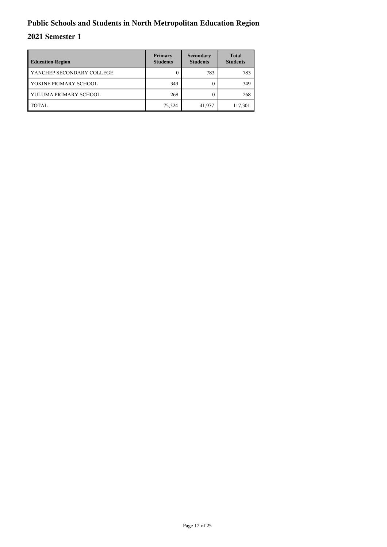| <b>Education Region</b>   | Primary<br><b>Students</b> | Secondary<br><b>Students</b> | <b>Total</b><br><b>Students</b> |
|---------------------------|----------------------------|------------------------------|---------------------------------|
| YANCHEP SECONDARY COLLEGE |                            | 783                          | 783                             |
| YOKINE PRIMARY SCHOOL     | 349                        |                              | 349                             |
| YULUMA PRIMARY SCHOOL     | 268                        |                              | 268                             |
| TOTAL                     | 75,324                     | 41,977                       | 117,301                         |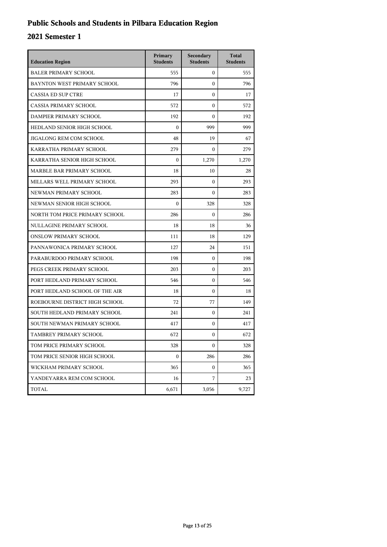## **Public Schools and Students in Pilbara Education Region**

| <b>Education Region</b>        | Primary<br><b>Students</b> | Secondary<br><b>Students</b> | <b>Total</b><br><b>Students</b> |
|--------------------------------|----------------------------|------------------------------|---------------------------------|
| <b>BALER PRIMARY SCHOOL</b>    | 555                        | $\mathbf{0}$                 | 555                             |
| BAYNTON WEST PRIMARY SCHOOL    | 796                        | $\Omega$                     | 796                             |
| <b>CASSIA ED SUP CTRE</b>      | 17                         | $\theta$                     | 17                              |
| CASSIA PRIMARY SCHOOL          | 572                        | $\theta$                     | 572                             |
| DAMPIER PRIMARY SCHOOL         | 192                        | $\Omega$                     | 192                             |
| HEDLAND SENIOR HIGH SCHOOL     | $\boldsymbol{0}$           | 999                          | 999                             |
| JIGALONG REM COM SCHOOL        | 48                         | 19                           | 67                              |
| KARRATHA PRIMARY SCHOOL        | 279                        | $\theta$                     | 279                             |
| KARRATHA SENIOR HIGH SCHOOL    | $\boldsymbol{0}$           | 1,270                        | 1,270                           |
| MARBLE BAR PRIMARY SCHOOL      | 18                         | 10                           | 28                              |
| MILLARS WELL PRIMARY SCHOOL    | 293                        | $\mathbf{0}$                 | 293                             |
| NEWMAN PRIMARY SCHOOL          | 283                        | $\Omega$                     | 283                             |
| NEWMAN SENIOR HIGH SCHOOL      | $\mathbf{0}$               | 328                          | 328                             |
| NORTH TOM PRICE PRIMARY SCHOOL | 286                        | $\theta$                     | 286                             |
| NULLAGINE PRIMARY SCHOOL       | 18                         | 18                           | 36                              |
| <b>ONSLOW PRIMARY SCHOOL</b>   | 111                        | 18                           | 129                             |
| PANNAWONICA PRIMARY SCHOOL     | 127                        | 24                           | 151                             |
| PARABURDOO PRIMARY SCHOOL      | 198                        | $\mathbf{0}$                 | 198                             |
| PEGS CREEK PRIMARY SCHOOL      | 203                        | $\mathbf{0}$                 | 203                             |
| PORT HEDLAND PRIMARY SCHOOL    | 546                        | $\mathbf{0}$                 | 546                             |
| PORT HEDLAND SCHOOL OF THE AIR | 18                         | $\mathbf{0}$                 | 18                              |
| ROEBOURNE DISTRICT HIGH SCHOOL | 72                         | 77                           | 149                             |
| SOUTH HEDLAND PRIMARY SCHOOL   | 241                        | $\theta$                     | 241                             |
| SOUTH NEWMAN PRIMARY SCHOOL    | 417                        | $\mathbf{0}$                 | 417                             |
| TAMBREY PRIMARY SCHOOL         | 672                        | $\mathbf{0}$                 | 672                             |
| TOM PRICE PRIMARY SCHOOL       | 328                        | $\mathbf{0}$                 | 328                             |
| TOM PRICE SENIOR HIGH SCHOOL   | 0                          | 286                          | 286                             |
| WICKHAM PRIMARY SCHOOL         | 365                        | $\mathbf{0}$                 | 365                             |
| YANDEYARRA REM COM SCHOOL      | 16                         | 7                            | 23                              |
| TOTAL                          | 6,671                      | 3,056                        | 9,727                           |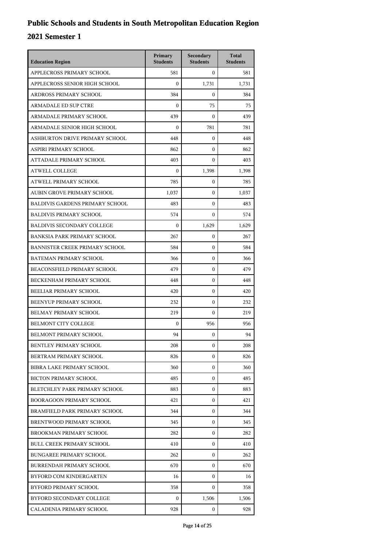| <b>Education Region</b>                | Primary<br><b>Students</b> | Secondary<br><b>Students</b> | <b>Total</b><br><b>Students</b> |
|----------------------------------------|----------------------------|------------------------------|---------------------------------|
| APPLECROSS PRIMARY SCHOOL              | 581                        | $\mathbf{0}$                 | 581                             |
| APPLECROSS SENIOR HIGH SCHOOL          | $\mathbf{0}$               | 1,731                        | 1,731                           |
| ARDROSS PRIMARY SCHOOL                 | 384                        | $\mathbf{0}$                 | 384                             |
| <b>ARMADALE ED SUP CTRE</b>            | $\boldsymbol{0}$           | 75                           | 75                              |
| ARMADALE PRIMARY SCHOOL                | 439                        | $\mathbf{0}$                 | 439                             |
| ARMADALE SENIOR HIGH SCHOOL            | $\boldsymbol{0}$           | 781                          | 781                             |
| ASHBURTON DRIVE PRIMARY SCHOOL         | 448                        | $\mathbf{0}$                 | 448                             |
| ASPIRI PRIMARY SCHOOL                  | 862                        | $\mathbf{0}$                 | 862                             |
| ATTADALE PRIMARY SCHOOL                | 403                        | $\mathbf{0}$                 | 403                             |
| <b>ATWELL COLLEGE</b>                  | $\Omega$                   | 1,398                        | 1,398                           |
| ATWELL PRIMARY SCHOOL                  | 785                        | $\mathbf{0}$                 | 785                             |
| AUBIN GROVE PRIMARY SCHOOL             | 1,037                      | $\mathbf{0}$                 | 1,037                           |
| <b>BALDIVIS GARDENS PRIMARY SCHOOL</b> | 483                        | $\mathbf{0}$                 | 483                             |
| <b>BALDIVIS PRIMARY SCHOOL</b>         | 574                        | $\mathbf{0}$                 | 574                             |
| <b>BALDIVIS SECONDARY COLLEGE</b>      | $\Omega$                   | 1,629                        | 1,629                           |
| BANKSIA PARK PRIMARY SCHOOL            | 267                        | $\mathbf{0}$                 | 267                             |
| BANNISTER CREEK PRIMARY SCHOOL         | 584                        | $\mathbf{0}$                 | 584                             |
| BATEMAN PRIMARY SCHOOL                 | 366                        | $\mathbf{0}$                 | 366                             |
| BEACONSFIELD PRIMARY SCHOOL            | 479                        | $\mathbf{0}$                 | 479                             |
| BECKENHAM PRIMARY SCHOOL               | 448                        | $\mathbf{0}$                 | 448                             |
| BEELIAR PRIMARY SCHOOL                 | 420                        | $\mathbf{0}$                 | 420                             |
| BEENYUP PRIMARY SCHOOL                 | 232                        | $\mathbf{0}$                 | 232                             |
| BELMAY PRIMARY SCHOOL                  | 219                        | $\mathbf{0}$                 | 219                             |
| <b>BELMONT CITY COLLEGE</b>            | $\boldsymbol{0}$           | 956                          | 956                             |
| BELMONT PRIMARY SCHOOL                 | 94                         | $\mathbf{0}$                 | 94                              |
| <b>BENTLEY PRIMARY SCHOOL</b>          | 208                        | $\boldsymbol{0}$             | 208                             |
| BERTRAM PRIMARY SCHOOL                 | 826                        | $\mathbf{0}$                 | 826                             |
| BIBRA LAKE PRIMARY SCHOOL              | 360                        | $\mathbf{0}$                 | 360                             |
| <b>BICTON PRIMARY SCHOOL</b>           | 485                        | 0                            | 485                             |
| BLETCHLEY PARK PRIMARY SCHOOL          | 883                        | 0                            | 883                             |
| BOORAGOON PRIMARY SCHOOL               | 421                        | $\mathbf{0}$                 | 421                             |
| BRAMFIELD PARK PRIMARY SCHOOL          | 344                        | $\mathbf{0}$                 | 344                             |
| BRENTWOOD PRIMARY SCHOOL               | 345                        | $\mathbf{0}$                 | 345                             |
| BROOKMAN PRIMARY SCHOOL                | 282                        | 0                            | 282                             |
| <b>BULL CREEK PRIMARY SCHOOL</b>       | 410                        | 0                            | 410                             |
| <b>BUNGAREE PRIMARY SCHOOL</b>         | 262                        | $\mathbf{0}$                 | 262                             |
| <b>BURRENDAH PRIMARY SCHOOL</b>        | 670                        | $\mathbf{0}$                 | 670                             |
| BYFORD COM KINDERGARTEN                | 16                         | $\mathbf{0}$                 | 16                              |
| BYFORD PRIMARY SCHOOL                  | 358                        | $\mathbf{0}$                 | 358                             |
| BYFORD SECONDARY COLLEGE               | 0                          | 1,506                        | 1,506                           |
| CALADENIA PRIMARY SCHOOL               | 928                        | 0                            | 928                             |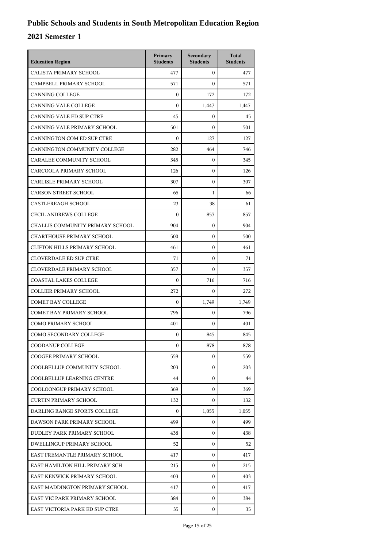| <b>Education Region</b>             | Primary<br><b>Students</b> | Secondary<br><b>Students</b> | <b>Total</b><br><b>Students</b> |
|-------------------------------------|----------------------------|------------------------------|---------------------------------|
| CALISTA PRIMARY SCHOOL              | 477                        | $\mathbf{0}$                 | 477                             |
| CAMPBELL PRIMARY SCHOOL             | 571                        | $\Omega$                     | 571                             |
| <b>CANNING COLLEGE</b>              | $\boldsymbol{0}$           | 172                          | 172                             |
| <b>CANNING VALE COLLEGE</b>         | $\boldsymbol{0}$           | 1,447                        | 1,447                           |
| CANNING VALE ED SUP CTRE            | 45                         | $\mathbf{0}$                 | 45                              |
| CANNING VALE PRIMARY SCHOOL         | 501                        | $\mathbf{0}$                 | 501                             |
| CANNINGTON COM ED SUP CTRE          | $\mathbf{0}$               | 127                          | 127                             |
| CANNINGTON COMMUNITY COLLEGE        | 282                        | 464                          | 746                             |
| CARALEE COMMUNITY SCHOOL            | 345                        | $\boldsymbol{0}$             | 345                             |
| CARCOOLA PRIMARY SCHOOL             | 126                        | $\mathbf{0}$                 | 126                             |
| CARLISLE PRIMARY SCHOOL             | 307                        | $\mathbf{0}$                 | 307                             |
| <b>CARSON STREET SCHOOL</b>         | 65                         | $\mathbf{1}$                 | 66                              |
| <b>CASTLEREAGH SCHOOL</b>           | 23                         | 38                           | 61                              |
| <b>CECIL ANDREWS COLLEGE</b>        | $\boldsymbol{0}$           | 857                          | 857                             |
| CHALLIS COMMUNITY PRIMARY SCHOOL    | 904                        | $\mathbf{0}$                 | 904                             |
| <b>CHARTHOUSE PRIMARY SCHOOL</b>    | 500                        | $\mathbf{0}$                 | 500                             |
| <b>CLIFTON HILLS PRIMARY SCHOOL</b> | 461                        | $\mathbf{0}$                 | 461                             |
| <b>CLOVERDALE ED SUP CTRE</b>       | 71                         | $\mathbf{0}$                 | 71                              |
| <b>CLOVERDALE PRIMARY SCHOOL</b>    | 357                        | $\mathbf{0}$                 | 357                             |
| <b>COASTAL LAKES COLLEGE</b>        | $\boldsymbol{0}$           | 716                          | 716                             |
| <b>COLLIER PRIMARY SCHOOL</b>       | 272                        | $\mathbf{0}$                 | 272                             |
| <b>COMET BAY COLLEGE</b>            | $\mathbf{0}$               | 1,749                        | 1,749                           |
| <b>COMET BAY PRIMARY SCHOOL</b>     | 796                        | $\mathbf{0}$                 | 796                             |
| <b>COMO PRIMARY SCHOOL</b>          | 401                        | $\mathbf{0}$                 | 401                             |
| COMO SECONDARY COLLEGE              | $\boldsymbol{0}$           | 845                          | 845                             |
| COODANUP COLLEGE                    | 0                          | 878                          | 878                             |
| COOGEE PRIMARY SCHOOL               | 559                        | 0                            | 559                             |
| COOLBELLUP COMMUNITY SCHOOL         | 203                        | $\mathbf{0}$                 | 203                             |
| COOLBELLUP LEARNING CENTRE          | 44                         | 0                            | 44                              |
| COOLOONGUP PRIMARY SCHOOL           | 369                        | $\mathbf{0}$                 | 369                             |
| <b>CURTIN PRIMARY SCHOOL</b>        | 132                        | $\Omega$                     | 132                             |
| DARLING RANGE SPORTS COLLEGE        | $\Omega$                   | 1,055                        | 1,055                           |
| DAWSON PARK PRIMARY SCHOOL          | 499                        | $\mathbf{0}$                 | 499                             |
| DUDLEY PARK PRIMARY SCHOOL          | 438                        | 0                            | 438                             |
| <b>DWELLINGUP PRIMARY SCHOOL</b>    | 52                         | $\mathbf{0}$                 | 52                              |
| EAST FREMANTLE PRIMARY SCHOOL       | 417                        | $\mathbf{0}$                 | 417                             |
| EAST HAMILTON HILL PRIMARY SCH      | 215                        | $\mathbf{0}$                 | 215                             |
| EAST KENWICK PRIMARY SCHOOL         | 403                        | $\mathbf{0}$                 | 403                             |
| EAST MADDINGTON PRIMARY SCHOOL      | 417                        | 0                            | 417                             |
| EAST VIC PARK PRIMARY SCHOOL        | 384                        | $\mathbf{0}$                 | 384                             |
| EAST VICTORIA PARK ED SUP CTRE      | 35                         | $\mathbf{0}$                 | 35                              |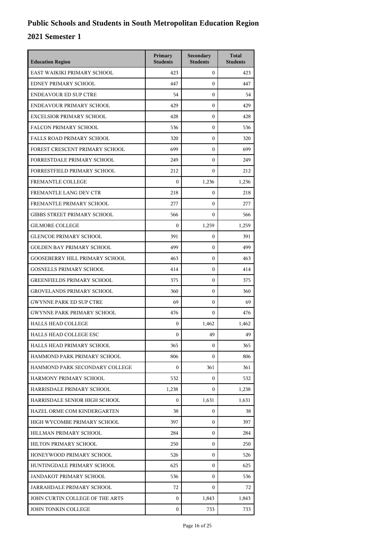| <b>Education Region</b>               | Primary<br><b>Students</b> | Secondary<br><b>Students</b> | <b>Total</b><br><b>Students</b> |
|---------------------------------------|----------------------------|------------------------------|---------------------------------|
| EAST WAIKIKI PRIMARY SCHOOL           | 423                        | $\mathbf{0}$                 | 423                             |
| EDNEY PRIMARY SCHOOL                  | 447                        | $\theta$                     | 447                             |
| <b>ENDEAVOUR ED SUP CTRE</b>          | 54                         | $\mathbf{0}$                 | 54                              |
| ENDEAVOUR PRIMARY SCHOOL              | 429                        | $\mathbf{0}$                 | 429                             |
| <b>EXCELSIOR PRIMARY SCHOOL</b>       | 428                        | $\boldsymbol{0}$             | 428                             |
| <b>FALCON PRIMARY SCHOOL</b>          | 536                        | $\mathbf{0}$                 | 536                             |
| <b>FALLS ROAD PRIMARY SCHOOL</b>      | 320                        | $\theta$                     | 320                             |
| FOREST CRESCENT PRIMARY SCHOOL        | 699                        | $\mathbf{0}$                 | 699                             |
| FORRESTDALE PRIMARY SCHOOL            | 249                        | $\mathbf{0}$                 | 249                             |
| <b>FORRESTFIELD PRIMARY SCHOOL</b>    | 212                        | $\boldsymbol{0}$             | 212                             |
| FREMANTLE COLLEGE                     | $\boldsymbol{0}$           | 1,236                        | 1,236                           |
| FREMANTLE LANG DEV CTR                | 218                        | $\mathbf{0}$                 | 218                             |
| FREMANTLE PRIMARY SCHOOL              | 277                        | $\mathbf{0}$                 | 277                             |
| <b>GIBBS STREET PRIMARY SCHOOL</b>    | 566                        | $\mathbf{0}$                 | 566                             |
| <b>GILMORE COLLEGE</b>                | $\Omega$                   | 1,259                        | 1,259                           |
| <b>GLENCOE PRIMARY SCHOOL</b>         | 391                        | $\boldsymbol{0}$             | 391                             |
| <b>GOLDEN BAY PRIMARY SCHOOL</b>      | 499                        | $\theta$                     | 499                             |
| <b>GOOSEBERRY HILL PRIMARY SCHOOL</b> | 463                        | $\mathbf{0}$                 | 463                             |
| <b>GOSNELLS PRIMARY SCHOOL</b>        | 414                        | $\mathbf{0}$                 | 414                             |
| <b>GREENFIELDS PRIMARY SCHOOL</b>     | 375                        | $\boldsymbol{0}$             | 375                             |
| <b>GROVELANDS PRIMARY SCHOOL</b>      | 360                        | $\mathbf{0}$                 | 360                             |
| <b>GWYNNE PARK ED SUP CTRE</b>        | 69                         | $\mathbf{0}$                 | 69                              |
| <b>GWYNNE PARK PRIMARY SCHOOL</b>     | 476                        | $\theta$                     | 476                             |
| <b>HALLS HEAD COLLEGE</b>             | $\boldsymbol{0}$           | 1,462                        | 1,462                           |
| <b>HALLS HEAD COLLEGE ESC</b>         | $\mathbf{0}$               | 49                           | 49                              |
| HALLS HEAD PRIMARY SCHOOL             | 365                        | $\boldsymbol{0}$             | 365                             |
| HAMMOND PARK PRIMARY SCHOOL           | 806                        | $\Omega$                     | 806                             |
| HAMMOND PARK SECONDARY COLLEGE        | $\boldsymbol{0}$           | 361                          | 361                             |
| HARMONY PRIMARY SCHOOL                | 532                        | $\boldsymbol{0}$             | 532                             |
| HARRISDALE PRIMARY SCHOOL             | 1,238                      | 0                            | 1,238                           |
| HARRISDALE SENIOR HIGH SCHOOL         | $\Omega$                   | 1,631                        | 1,631                           |
| HAZEL ORME COM KINDERGARTEN           | 38                         | $\Omega$                     | 38                              |
| HIGH WYCOMBE PRIMARY SCHOOL           | 397                        | $\Omega$                     | 397                             |
| HILLMAN PRIMARY SCHOOL                | 284                        | $\boldsymbol{0}$             | 284                             |
| HILTON PRIMARY SCHOOL                 | 250                        | 0                            | 250                             |
| HONEYWOOD PRIMARY SCHOOL              | 526                        | $\Omega$                     | 526                             |
| HUNTINGDALE PRIMARY SCHOOL            | 625                        | 0                            | 625                             |
| JANDAKOT PRIMARY SCHOOL               | 536                        | $\mathbf{0}$                 | 536                             |
| JARRAHDALE PRIMARY SCHOOL             | 72                         | $\mathbf{0}$                 | 72                              |
| JOHN CURTIN COLLEGE OF THE ARTS       | $\mathbf{0}$               | 1,843                        | 1,843                           |
| JOHN TONKIN COLLEGE                   | $\boldsymbol{0}$           | 733                          | 733                             |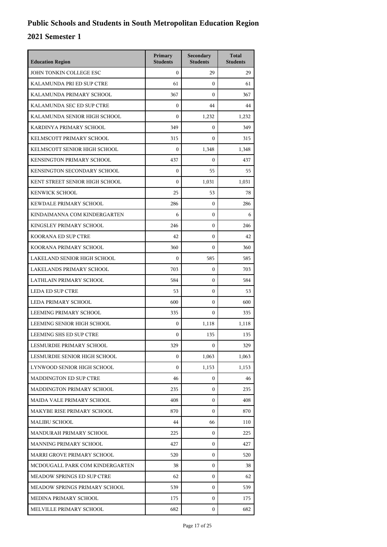| <b>Education Region</b>           | Primary<br><b>Students</b> | Secondary<br><b>Students</b> | <b>Total</b><br><b>Students</b> |
|-----------------------------------|----------------------------|------------------------------|---------------------------------|
| JOHN TONKIN COLLEGE ESC           | $\mathbf{0}$               | 29                           | 29                              |
| KALAMUNDA PRI ED SUP CTRE         | 61                         | $\mathbf{0}$                 | 61                              |
| KALAMUNDA PRIMARY SCHOOL          | 367                        | $\mathbf{0}$                 | 367                             |
| KALAMUNDA SEC ED SUP CTRE         | $\boldsymbol{0}$           | 44                           | 44                              |
| KALAMUNDA SENIOR HIGH SCHOOL      | $\Omega$                   | 1,232                        | 1,232                           |
| KARDINYA PRIMARY SCHOOL           | 349                        | $\mathbf{0}$                 | 349                             |
| KELMSCOTT PRIMARY SCHOOL          | 315                        | $\mathbf{0}$                 | 315                             |
| KELMSCOTT SENIOR HIGH SCHOOL      | $\boldsymbol{0}$           | 1,348                        | 1,348                           |
| KENSINGTON PRIMARY SCHOOL         | 437                        | $\mathbf{0}$                 | 437                             |
| KENSINGTON SECONDARY SCHOOL       | $\boldsymbol{0}$           | 55                           | 55                              |
| KENT STREET SENIOR HIGH SCHOOL    | $\mathbf{0}$               | 1,031                        | 1,031                           |
| <b>KENWICK SCHOOL</b>             | 25                         | 53                           | 78                              |
| KEWDALE PRIMARY SCHOOL            | 286                        | $\mathbf{0}$                 | 286                             |
| KINDAIMANNA COM KINDERGARTEN      | 6                          | $\mathbf{0}$                 | 6                               |
| KINGSLEY PRIMARY SCHOOL           | 246                        | $\mathbf{0}$                 | 246                             |
| KOORANA ED SUP CTRE               | 42                         | $\mathbf{0}$                 | 42                              |
| KOORANA PRIMARY SCHOOL            | 360                        | $\mathbf{0}$                 | 360                             |
| LAKELAND SENIOR HIGH SCHOOL       | $\boldsymbol{0}$           | 585                          | 585                             |
| LAKELANDS PRIMARY SCHOOL          | 703                        | $\mathbf{0}$                 | 703                             |
| LATHLAIN PRIMARY SCHOOL           | 584                        | $\mathbf{0}$                 | 584                             |
| <b>LEDA ED SUP CTRE</b>           | 53                         | $\mathbf{0}$                 | 53                              |
| LEDA PRIMARY SCHOOL               | 600                        | $\mathbf{0}$                 | 600                             |
| LEEMING PRIMARY SCHOOL            | 335                        | $\mathbf{0}$                 | 335                             |
| LEEMING SENIOR HIGH SCHOOL        | $\boldsymbol{0}$           | 1,118                        | 1,118                           |
| LEEMING SHS ED SUP CTRE           | $\boldsymbol{0}$           | 135                          | 135                             |
| LESMURDIE PRIMARY SCHOOL          | 329                        | 0                            | 329                             |
| LESMURDIE SENIOR HIGH SCHOOL      | $\boldsymbol{0}$           | 1,063                        | 1,063                           |
| LYNWOOD SENIOR HIGH SCHOOL        | $\boldsymbol{0}$           | 1,153                        | 1,153                           |
| <b>MADDINGTON ED SUP CTRE</b>     | 46                         | 0                            | 46                              |
| MADDINGTON PRIMARY SCHOOL         | 235                        | $\mathbf{0}$                 | 235                             |
| MAIDA VALE PRIMARY SCHOOL         | 408                        | $\mathbf{0}$                 | 408                             |
| MAKYBE RISE PRIMARY SCHOOL        | 870                        | $\mathbf{0}$                 | 870                             |
| <b>MALIBU SCHOOL</b>              | 44                         | 66                           | 110                             |
| MANDURAH PRIMARY SCHOOL           | 225                        | $\mathbf{0}$                 | 225                             |
| <b>MANNING PRIMARY SCHOOL</b>     | 427                        | $\mathbf{0}$                 | 427                             |
| MARRI GROVE PRIMARY SCHOOL        | 520                        | $\mathbf{0}$                 | 520                             |
| MCDOUGALL PARK COM KINDERGARTEN   | 38                         | $\mathbf{0}$                 | 38                              |
| <b>MEADOW SPRINGS ED SUP CTRE</b> | 62                         | $\mathbf{0}$                 | 62                              |
| MEADOW SPRINGS PRIMARY SCHOOL     | 539                        | 0                            | 539                             |
| MEDINA PRIMARY SCHOOL             | 175                        | $\mathbf{0}$                 | 175                             |
| MELVILLE PRIMARY SCHOOL           | 682                        | $\mathbf{0}$                 | 682                             |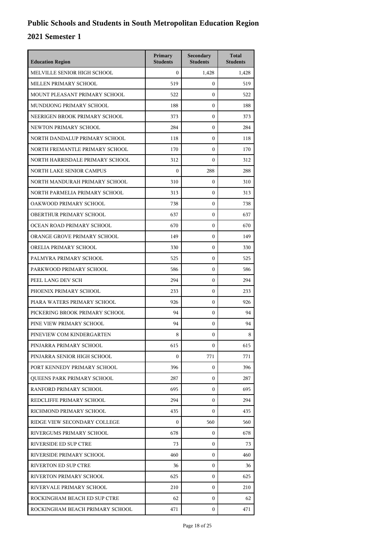| <b>Education Region</b>           | Primary<br><b>Students</b> | Secondary<br><b>Students</b> | <b>Total</b><br><b>Students</b> |
|-----------------------------------|----------------------------|------------------------------|---------------------------------|
| MELVILLE SENIOR HIGH SCHOOL       | $\Omega$                   | 1,428                        | 1,428                           |
| MILLEN PRIMARY SCHOOL             | 519                        | $\mathbf{0}$                 | 519                             |
| MOUNT PLEASANT PRIMARY SCHOOL     | 522                        | $\mathbf{0}$                 | 522                             |
| MUNDIJONG PRIMARY SCHOOL          | 188                        | $\boldsymbol{0}$             | 188                             |
| NEERIGEN BROOK PRIMARY SCHOOL     | 373                        | $\boldsymbol{0}$             | 373                             |
| NEWTON PRIMARY SCHOOL             | 284                        | $\boldsymbol{0}$             | 284                             |
| NORTH DANDALUP PRIMARY SCHOOL     | 118                        | $\mathbf{0}$                 | 118                             |
| NORTH FREMANTLE PRIMARY SCHOOL    | 170                        | $\mathbf{0}$                 | 170                             |
| NORTH HARRISDALE PRIMARY SCHOOL   | 312                        | $\boldsymbol{0}$             | 312                             |
| NORTH LAKE SENIOR CAMPUS          | $\Omega$                   | 288                          | 288                             |
| NORTH MANDURAH PRIMARY SCHOOL     | 310                        | $\boldsymbol{0}$             | 310                             |
| NORTH PARMELIA PRIMARY SCHOOL     | 313                        | $\mathbf{0}$                 | 313                             |
| OAKWOOD PRIMARY SCHOOL            | 738                        | $\boldsymbol{0}$             | 738                             |
| OBERTHUR PRIMARY SCHOOL           | 637                        | $\boldsymbol{0}$             | 637                             |
| OCEAN ROAD PRIMARY SCHOOL         | 670                        | $\boldsymbol{0}$             | 670                             |
| ORANGE GROVE PRIMARY SCHOOL       | 149                        | $\mathbf{0}$                 | 149                             |
| ORELIA PRIMARY SCHOOL             | 330                        | $\mathbf{0}$                 | 330                             |
| PALMYRA PRIMARY SCHOOL            | 525                        | $\boldsymbol{0}$             | 525                             |
| PARKWOOD PRIMARY SCHOOL           | 586                        | $\boldsymbol{0}$             | 586                             |
| PEEL LANG DEV SCH                 | 294                        | $\boldsymbol{0}$             | 294                             |
| PHOENIX PRIMARY SCHOOL            | 233                        | $\mathbf{0}$                 | 233                             |
| PIARA WATERS PRIMARY SCHOOL       | 926                        | $\mathbf{0}$                 | 926                             |
| PICKERING BROOK PRIMARY SCHOOL    | 94                         | $\boldsymbol{0}$             | 94                              |
| PINE VIEW PRIMARY SCHOOL          | 94                         | $\boldsymbol{0}$             | 94                              |
| PINEVIEW COM KINDERGARTEN         | 8                          | $\boldsymbol{0}$             | 8                               |
| PINJARRA PRIMARY SCHOOL           | 615                        | $\mathbf{0}$                 | 615                             |
| PINJARRA SENIOR HIGH SCHOOL       | $\Omega$                   | 771                          | 771                             |
| PORT KENNEDY PRIMARY SCHOOL       | 396                        | 0                            | 396                             |
| <b>OUEENS PARK PRIMARY SCHOOL</b> | 287                        | 0                            | 287                             |
| RANFORD PRIMARY SCHOOL            | 695                        | 0                            | 695                             |
| REDCLIFFE PRIMARY SCHOOL          | 294                        | 0                            | 294                             |
| RICHMOND PRIMARY SCHOOL           | 435                        | $\Omega$                     | 435                             |
| RIDGE VIEW SECONDARY COLLEGE      | $\Omega$                   | 560                          | 560                             |
| RIVERGUMS PRIMARY SCHOOL          | 678                        | 0                            | 678                             |
| RIVERSIDE ED SUP CTRE             | 73                         | 0                            | 73                              |
| RIVERSIDE PRIMARY SCHOOL          | 460                        | 0                            | 460                             |
| RIVERTON ED SUP CTRE              | 36                         | $\mathbf{0}$                 | 36                              |
| RIVERTON PRIMARY SCHOOL           | 625                        | 0                            | 625                             |
| RIVERVALE PRIMARY SCHOOL          | 210                        | 0                            | 210                             |
| ROCKINGHAM BEACH ED SUP CTRE      | 62                         | 0                            | 62                              |
| ROCKINGHAM BEACH PRIMARY SCHOOL   | 471                        | 0                            | 471                             |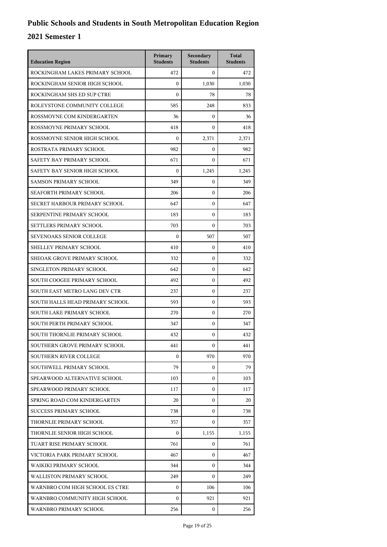| <b>Education Region</b>         | Primary<br><b>Students</b> | Secondary<br><b>Students</b> | <b>Total</b><br><b>Students</b> |
|---------------------------------|----------------------------|------------------------------|---------------------------------|
| ROCKINGHAM LAKES PRIMARY SCHOOL | 472                        | $\mathbf{0}$                 | 472                             |
| ROCKINGHAM SENIOR HIGH SCHOOL   | $\mathbf{0}$               | 1,030                        | 1,030                           |
| ROCKINGHAM SHS ED SUP CTRE      | $\mathbf{0}$               | 78                           | 78                              |
| ROLEYSTONE COMMUNITY COLLEGE    | 585                        | 248                          | 833                             |
| ROSSMOYNE COM KINDERGARTEN      | 36                         | $\Omega$                     | 36                              |
| ROSSMOYNE PRIMARY SCHOOL        | 418                        | $\mathbf{0}$                 | 418                             |
| ROSSMOYNE SENIOR HIGH SCHOOL    | $\mathbf{0}$               | 2,371                        | 2,371                           |
| ROSTRATA PRIMARY SCHOOL         | 982                        | $\mathbf{0}$                 | 982                             |
| SAFETY BAY PRIMARY SCHOOL       | 671                        | $\mathbf{0}$                 | 671                             |
| SAFETY BAY SENIOR HIGH SCHOOL   | $\mathbf{0}$               | 1,245                        | 1,245                           |
| <b>SAMSON PRIMARY SCHOOL</b>    | 349                        | $\mathbf{0}$                 | 349                             |
| SEAFORTH PRIMARY SCHOOL         | 206                        | $\mathbf{0}$                 | 206                             |
| SECRET HARBOUR PRIMARY SCHOOL   | 647                        | $\mathbf{0}$                 | 647                             |
| SERPENTINE PRIMARY SCHOOL       | 183                        | $\mathbf{0}$                 | 183                             |
| SETTLERS PRIMARY SCHOOL         | 703                        | $\mathbf{0}$                 | 703                             |
| SEVENOAKS SENIOR COLLEGE        | $\mathbf{0}$               | 507                          | 507                             |
| SHELLEY PRIMARY SCHOOL          | 410                        | $\mathbf{0}$                 | 410                             |
| SHEOAK GROVE PRIMARY SCHOOL     | 332                        | $\mathbf{0}$                 | 332                             |
| SINGLETON PRIMARY SCHOOL        | 642                        | $\mathbf{0}$                 | 642                             |
| SOUTH COOGEE PRIMARY SCHOOL     | 492                        | $\mathbf{0}$                 | 492                             |
| SOUTH EAST METRO LANG DEV CTR   | 237                        | $\mathbf{0}$                 | 237                             |
| SOUTH HALLS HEAD PRIMARY SCHOOL | 593                        | $\mathbf{0}$                 | 593                             |
| SOUTH LAKE PRIMARY SCHOOL       | 270                        | $\mathbf{0}$                 | 270                             |
| SOUTH PERTH PRIMARY SCHOOL      | 347                        | $\mathbf{0}$                 | 347                             |
| SOUTH THORNLIE PRIMARY SCHOOL   | 432                        | 0                            | 432                             |
| SOUTHERN GROVE PRIMARY SCHOOL   | 441                        | $\mathbf{0}$                 | 441                             |
| <b>SOUTHERN RIVER COLLEGE</b>   | $\mathbf{0}$               | 970                          | 970                             |
| SOUTHWELL PRIMARY SCHOOL        | 79                         | $\mathbf{0}$                 | 79                              |
| SPEARWOOD ALTERNATIVE SCHOOL    | 103                        | $\mathbf{0}$                 | 103                             |
| SPEARWOOD PRIMARY SCHOOL        | 117                        | $\mathbf{0}$                 | 117                             |
| SPRING ROAD COM KINDERGARTEN    | 20                         | $\mathbf{0}$                 | 20                              |
| <b>SUCCESS PRIMARY SCHOOL</b>   | 738                        | $\mathbf{0}$                 | 738                             |
| THORNLIE PRIMARY SCHOOL         | 357                        | $\mathbf{0}$                 | 357                             |
| THORNLIE SENIOR HIGH SCHOOL     | $\mathbf{0}$               | 1,155                        | 1,155                           |
| TUART RISE PRIMARY SCHOOL       | 761                        | $\mathbf{0}$                 | 761                             |
| VICTORIA PARK PRIMARY SCHOOL    | 467                        | $\mathbf{0}$                 | 467                             |
| WAIKIKI PRIMARY SCHOOL          | 344                        | $\mathbf{0}$                 | 344                             |
| WALLISTON PRIMARY SCHOOL        | 249                        | $\mathbf{0}$                 | 249                             |
| WARNBRO COM HIGH SCHOOL ES CTRE | $\mathbf{0}$               | 106                          | 106                             |
| WARNBRO COMMUNITY HIGH SCHOOL   | $\mathbf{0}$               | 921                          | 921                             |
| WARNBRO PRIMARY SCHOOL          | 256                        | $\mathbf{0}$                 | 256                             |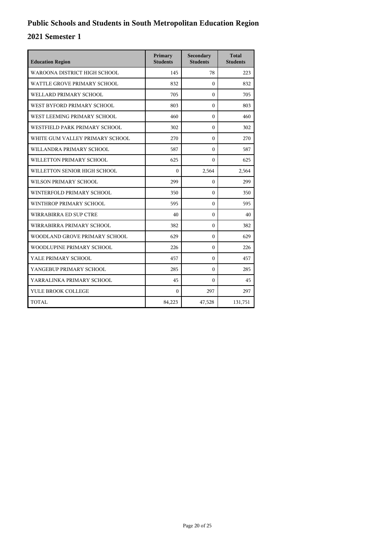| <b>Education Region</b>         | Primary<br><b>Students</b> | Secondary<br><b>Students</b> | <b>Total</b><br><b>Students</b> |
|---------------------------------|----------------------------|------------------------------|---------------------------------|
| WAROONA DISTRICT HIGH SCHOOL    | 145                        | 78                           | 223                             |
| WATTLE GROVE PRIMARY SCHOOL     | 832                        | $\theta$                     | 832                             |
| WELLARD PRIMARY SCHOOL          | 705                        | $\Omega$                     | 705                             |
| WEST BYFORD PRIMARY SCHOOL      | 803                        | $\theta$                     | 803                             |
| WEST LEEMING PRIMARY SCHOOL     | 460                        | $\Omega$                     | 460                             |
| WESTFIELD PARK PRIMARY SCHOOL   | 302                        | $\Omega$                     | 302                             |
| WHITE GUM VALLEY PRIMARY SCHOOL | 270                        | $\Omega$                     | 270                             |
| WILLANDRA PRIMARY SCHOOL        | 587                        | $\theta$                     | 587                             |
| WILLETTON PRIMARY SCHOOL        | 625                        | $\Omega$                     | 625                             |
| WILLETTON SENIOR HIGH SCHOOL    | $\Omega$                   | 2,564                        | 2,564                           |
| WILSON PRIMARY SCHOOL           | 299                        | $\Omega$                     | 299                             |
| WINTERFOLD PRIMARY SCHOOL       | 350                        | $\Omega$                     | 350                             |
| WINTHROP PRIMARY SCHOOL         | 595                        | $\Omega$                     | 595                             |
| WIRRABIRRA ED SUP CTRE          | 40                         | $\Omega$                     | 40                              |
| WIRRABIRRA PRIMARY SCHOOL       | 382                        | $\mathbf{0}$                 | 382                             |
| WOODLAND GROVE PRIMARY SCHOOL   | 629                        | $\theta$                     | 629                             |
| WOODLUPINE PRIMARY SCHOOL       | 226                        | $\Omega$                     | 226                             |
| YALE PRIMARY SCHOOL             | 457                        | $\mathbf{0}$                 | 457                             |
| YANGEBUP PRIMARY SCHOOL         | 285                        | $\Omega$                     | 285                             |
| YARRALINKA PRIMARY SCHOOL       | 45                         | $\Omega$                     | 45                              |
| YULE BROOK COLLEGE              | $\mathbf{0}$               | 297                          | 297                             |
| <b>TOTAL</b>                    | 84,223                     | 47,528                       | 131,751                         |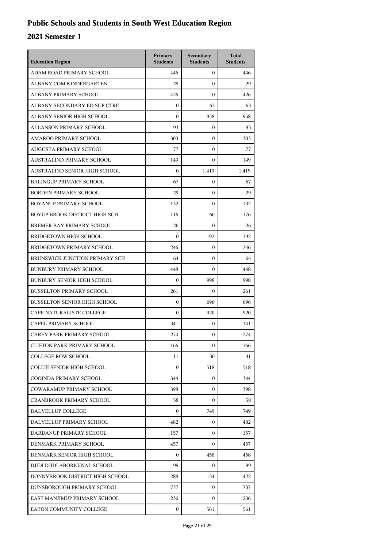| <b>Education Region</b>             | Primary<br><b>Students</b> | Secondary<br><b>Students</b> | <b>Total</b><br><b>Students</b> |
|-------------------------------------|----------------------------|------------------------------|---------------------------------|
| ADAM ROAD PRIMARY SCHOOL            | 446                        | $\mathbf{0}$                 | 446                             |
| ALBANY COM KINDERGARTEN             | 29                         | $\mathbf{0}$                 | 29                              |
| ALBANY PRIMARY SCHOOL               | 426                        | $\mathbf{0}$                 | 426                             |
| ALBANY SECONDARY ED SUP CTRE        | $\boldsymbol{0}$           | 63                           | 63                              |
| ALBANY SENIOR HIGH SCHOOL           | $\mathbf{0}$               | 958                          | 958                             |
| ALLANSON PRIMARY SCHOOL             | 93                         | $\mathbf{0}$                 | 93                              |
| AMAROO PRIMARY SCHOOL               | 303                        | $\mathbf{0}$                 | 303                             |
| AUGUSTA PRIMARY SCHOOL              | 77                         | $\mathbf{0}$                 | 77                              |
| AUSTRALIND PRIMARY SCHOOL           | 149                        | $\mathbf{0}$                 | 149                             |
| AUSTRALIND SENIOR HIGH SCHOOL       | $\Omega$                   | 1,419                        | 1,419                           |
| <b>BALINGUP PRIMARY SCHOOL</b>      | 67                         | $\mathbf{0}$                 | 67                              |
| <b>BORDEN PRIMARY SCHOOL</b>        | 29                         | $\mathbf{0}$                 | 29                              |
| BOYANUP PRIMARY SCHOOL              | 132                        | $\mathbf{0}$                 | 132                             |
| BOYUP BROOK DISTRICT HIGH SCH       | 116                        | 60                           | 176                             |
| BREMER BAY PRIMARY SCHOOL           | 26                         | $\mathbf{0}$                 | 26                              |
| <b>BRIDGETOWN HIGH SCHOOL</b>       | $\boldsymbol{0}$           | 192                          | 192                             |
| BRIDGETOWN PRIMARY SCHOOL           | 246                        | $\mathbf{0}$                 | 246                             |
| BRUNSWICK JUNCTION PRIMARY SCH      | 64                         | $\mathbf{0}$                 | 64                              |
| <b>BUNBURY PRIMARY SCHOOL</b>       | 448                        | $\mathbf{0}$                 | 448                             |
| <b>BUNBURY SENIOR HIGH SCHOOL</b>   | $\boldsymbol{0}$           | 998                          | 998                             |
| <b>BUSSELTON PRIMARY SCHOOL</b>     | 261                        | $\mathbf{0}$                 | 261                             |
| <b>BUSSELTON SENIOR HIGH SCHOOL</b> | $\mathbf{0}$               | 696                          | 696                             |
| CAPE NATURALISTE COLLEGE            | $\boldsymbol{0}$           | 920                          | 920                             |
| CAPEL PRIMARY SCHOOL                | 341                        | $\mathbf{0}$                 | 341                             |
| CAREY PARK PRIMARY SCHOOL           | 274                        | $\mathbf{0}$                 | 274                             |
| <b>CLIFTON PARK PRIMARY SCHOOL</b>  | 166                        | $\mathbf{0}$                 | 166                             |
| <b>COLLEGE ROW SCHOOL</b>           | 11                         | 30                           | 41                              |
| COLLIE SENIOR HIGH SCHOOL           | $\Omega$                   | 518                          | 518                             |
| COOINDA PRIMARY SCHOOL              | 344                        | 0                            | 344                             |
| <b>COWARAMUP PRIMARY SCHOOL</b>     | 398                        | 0                            | 398                             |
| <b>CRANBROOK PRIMARY SCHOOL</b>     | 58                         | 0                            | 58                              |
| DALYELLUP COLLEGE                   | $\Omega$                   | 749                          | 749                             |
| DALYELLUP PRIMARY SCHOOL            | 482                        | 0                            | 482                             |
| DARDANUP PRIMARY SCHOOL             | 157                        | $\mathbf{0}$                 | 157                             |
| DENMARK PRIMARY SCHOOL              | 457                        | 0                            | 457                             |
| DENMARK SENIOR HIGH SCHOOL          | $\Omega$                   | 458                          | 458                             |
| DJIDI DJIDI ABORIGINAL SCHOOL       | 99                         | $\mathbf{0}$                 | 99                              |
| DONNYBROOK DISTRICT HIGH SCHOOL     | 288                        | 134                          | 422                             |
| DUNSBOROUGH PRIMARY SCHOOL          | 737                        | $\mathbf{0}$                 | 737                             |
| EAST MANJIMUP PRIMARY SCHOOL        | 236                        | $\Omega$                     | 236                             |
| EATON COMMUNITY COLLEGE             | 0                          | 561                          | 561                             |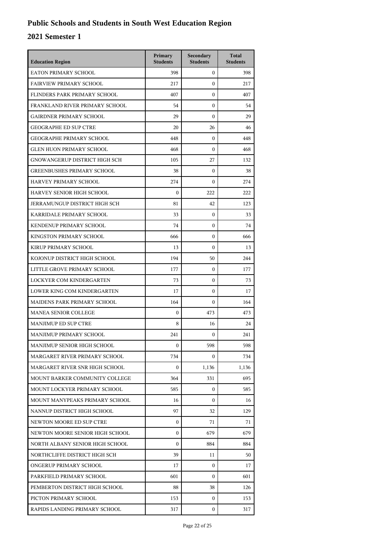| <b>Education Region</b>              | Primary<br><b>Students</b> | Secondary<br><b>Students</b> | <b>Total</b><br><b>Students</b> |
|--------------------------------------|----------------------------|------------------------------|---------------------------------|
| EATON PRIMARY SCHOOL                 | 398                        | $\mathbf{0}$                 | 398                             |
| <b>FAIRVIEW PRIMARY SCHOOL</b>       | 217                        | $\boldsymbol{0}$             | 217                             |
| FLINDERS PARK PRIMARY SCHOOL         | 407                        | $\boldsymbol{0}$             | 407                             |
| FRANKLAND RIVER PRIMARY SCHOOL       | 54                         | $\boldsymbol{0}$             | 54                              |
| <b>GAIRDNER PRIMARY SCHOOL</b>       | 29                         | $\mathbf{0}$                 | 29                              |
| <b>GEOGRAPHE ED SUP CTRE</b>         | 20                         | 26                           | 46                              |
| <b>GEOGRAPHE PRIMARY SCHOOL</b>      | 448                        | $\boldsymbol{0}$             | 448                             |
| <b>GLEN HUON PRIMARY SCHOOL</b>      | 468                        | $\boldsymbol{0}$             | 468                             |
| GNOWANGERUP DISTRICT HIGH SCH        | 105                        | 27                           | 132                             |
| <b>GREENBUSHES PRIMARY SCHOOL</b>    | 38                         | $\boldsymbol{0}$             | 38                              |
| HARVEY PRIMARY SCHOOL                | 274                        | $\mathbf{0}$                 | 274                             |
| HARVEY SENIOR HIGH SCHOOL            | $\boldsymbol{0}$           | 222                          | 222                             |
| <b>JERRAMUNGUP DISTRICT HIGH SCH</b> | 81                         | 42                           | 123                             |
| KARRIDALE PRIMARY SCHOOL             | 33                         | 0                            | 33                              |
| KENDENUP PRIMARY SCHOOL              | 74                         | 0                            | 74                              |
| KINGSTON PRIMARY SCHOOL              | 666                        | $\mathbf{0}$                 | 666                             |
| KIRUP PRIMARY SCHOOL                 | 13                         | $\boldsymbol{0}$             | 13                              |
| KOJONUP DISTRICT HIGH SCHOOL         | 194                        | 50                           | 244                             |
| LITTLE GROVE PRIMARY SCHOOL          | 177                        | 0                            | 177                             |
| LOCKYER COM KINDERGARTEN             | 73                         | 0                            | 73                              |
| LOWER KING COM KINDERGARTEN          | 17                         | $\mathbf{0}$                 | 17                              |
| <b>MAIDENS PARK PRIMARY SCHOOL</b>   | 164                        | $\boldsymbol{0}$             | 164                             |
| <b>MANEA SENIOR COLLEGE</b>          | $\mathbf{0}$               | 473                          | 473                             |
| <b>MANJIMUP ED SUP CTRE</b>          | 8                          | 16                           | 24                              |
| MANJIMUP PRIMARY SCHOOL              | 241                        | $\mathbf{0}$                 | 241                             |
| MANJIMUP SENIOR HIGH SCHOOL          | $\mathbf{0}$               | 598                          | 598                             |
| MARGARET RIVER PRIMARY SCHOOL        | 734                        | 0                            | 734                             |
| MARGARET RIVER SNR HIGH SCHOOL       | $\boldsymbol{0}$           | 1,136                        | 1,136                           |
| MOUNT BARKER COMMUNITY COLLEGE       | 364                        | 331                          | 695                             |
| MOUNT LOCKYER PRIMARY SCHOOL         | 585                        | $\mathbf{0}$                 | 585                             |
| MOUNT MANYPEAKS PRIMARY SCHOOL       | 16                         | 0                            | 16                              |
| NANNUP DISTRICT HIGH SCHOOL          | 97                         | 32                           | 129                             |
| NEWTON MOORE ED SUP CTRE             | $\boldsymbol{0}$           | 71                           | 71                              |
| NEWTON MOORE SENIOR HIGH SCHOOL      | $\boldsymbol{0}$           | 679                          | 679                             |
| NORTH ALBANY SENIOR HIGH SCHOOL      | $\boldsymbol{0}$           | 884                          | 884                             |
| NORTHCLIFFE DISTRICT HIGH SCH        | 39                         | 11                           | 50                              |
| ONGERUP PRIMARY SCHOOL               | 17                         | $\mathbf{0}$                 | 17                              |
| PARKFIELD PRIMARY SCHOOL             | 601                        | $\Omega$                     | 601                             |
| PEMBERTON DISTRICT HIGH SCHOOL       | 88                         | 38                           | 126                             |
| PICTON PRIMARY SCHOOL                | 153                        | $\mathbf{0}$                 | 153                             |
| RAPIDS LANDING PRIMARY SCHOOL        | 317                        | $\mathbf{0}$                 | 317                             |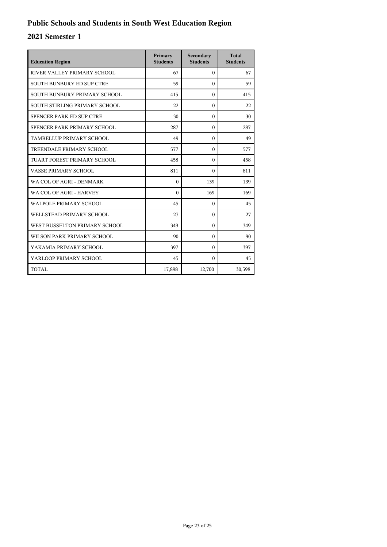| <b>Education Region</b>          | Primary<br><b>Students</b> | Secondary<br><b>Students</b> | <b>Total</b><br><b>Students</b> |
|----------------------------------|----------------------------|------------------------------|---------------------------------|
| RIVER VALLEY PRIMARY SCHOOL      | 67                         | $\Omega$                     | 67                              |
| <b>SOUTH BUNBURY ED SUP CTRE</b> | 59                         | $\theta$                     | 59                              |
| SOUTH BUNBURY PRIMARY SCHOOL     | 415                        | $\Omega$                     | 415                             |
| SOUTH STIRLING PRIMARY SCHOOL    | 22                         | $\theta$                     | 22                              |
| SPENCER PARK ED SUP CTRE         | 30                         | $\theta$                     | 30                              |
| SPENCER PARK PRIMARY SCHOOL      | 287                        | $\mathbf{0}$                 | 287                             |
| TAMBELLUP PRIMARY SCHOOL         | 49                         | $\theta$                     | 49                              |
| TREENDALE PRIMARY SCHOOL         | 577                        | $\Omega$                     | 577                             |
| TUART FOREST PRIMARY SCHOOL      | 458                        | $\theta$                     | 458                             |
| VASSE PRIMARY SCHOOL             | 811                        | $\Omega$                     | 811                             |
| WA COL OF AGRI - DENMARK         | $\theta$                   | 139                          | 139                             |
| WA COL OF AGRI - HARVEY          | $\Omega$                   | 169                          | 169                             |
| <b>WALPOLE PRIMARY SCHOOL</b>    | 45                         | $\Omega$                     | 45                              |
| WELLSTEAD PRIMARY SCHOOL         | 27                         | $\theta$                     | 27                              |
| WEST BUSSELTON PRIMARY SCHOOL    | 349                        | $\Omega$                     | 349                             |
| WILSON PARK PRIMARY SCHOOL       | 90                         | $\theta$                     | 90                              |
| YAKAMIA PRIMARY SCHOOL           | 397                        | $\Omega$                     | 397                             |
| YARLOOP PRIMARY SCHOOL           | 45                         | $\Omega$                     | 45                              |
| TOTAL                            | 17,898                     | 12,700                       | 30,598                          |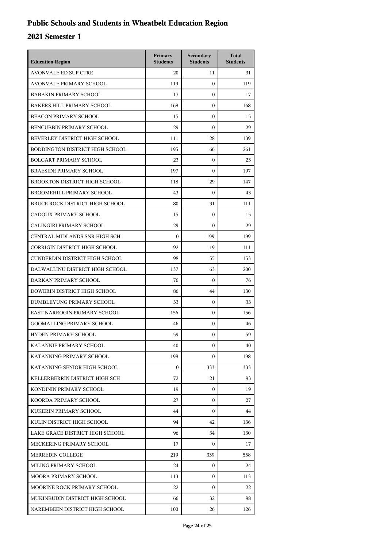## **Public Schools and Students in Wheatbelt Education Region**

| <b>Education Region</b>           | Primary<br><b>Students</b> | Secondary<br><b>Students</b> | <b>Total</b><br><b>Students</b> |
|-----------------------------------|----------------------------|------------------------------|---------------------------------|
| <b>AVONVALE ED SUP CTRE</b>       | 20                         | 11                           | 31                              |
| AVONVALE PRIMARY SCHOOL           | 119                        | $\theta$                     | 119                             |
| <b>BABAKIN PRIMARY SCHOOL</b>     | 17                         | $\mathbf{0}$                 | 17                              |
| <b>BAKERS HILL PRIMARY SCHOOL</b> | 168                        | $\mathbf{0}$                 | 168                             |
| <b>BEACON PRIMARY SCHOOL</b>      | 15                         | $\mathbf{0}$                 | 15                              |
| BENCUBBIN PRIMARY SCHOOL          | 29                         | $\mathbf{0}$                 | 29                              |
| BEVERLEY DISTRICT HIGH SCHOOL     | 111                        | 28                           | 139                             |
| BODDINGTON DISTRICT HIGH SCHOOL   | 195                        | 66                           | 261                             |
| <b>BOLGART PRIMARY SCHOOL</b>     | 23                         | $\mathbf{0}$                 | 23                              |
| <b>BRAESIDE PRIMARY SCHOOL</b>    | 197                        | $\mathbf{0}$                 | 197                             |
| BROOKTON DISTRICT HIGH SCHOOL     | 118                        | 29                           | 147                             |
| BROOMEHILL PRIMARY SCHOOL         | 43                         | $\theta$                     | 43                              |
| BRUCE ROCK DISTRICT HIGH SCHOOL   | 80                         | 31                           | 111                             |
| CADOUX PRIMARY SCHOOL             | 15                         | $\mathbf{0}$                 | 15                              |
| CALINGIRI PRIMARY SCHOOL          | 29                         | $\boldsymbol{0}$             | 29                              |
| CENTRAL MIDLANDS SNR HIGH SCH     | $\mathbf{0}$               | 199                          | 199                             |
| CORRIGIN DISTRICT HIGH SCHOOL     | 92                         | 19                           | 111                             |
| CUNDERDIN DISTRICT HIGH SCHOOL    | 98                         | 55                           | 153                             |
| DALWALLINU DISTRICT HIGH SCHOOL   | 137                        | 63                           | 200                             |
| DARKAN PRIMARY SCHOOL             | 76                         | $\mathbf{0}$                 | 76                              |
| DOWERIN DISTRICT HIGH SCHOOL      | 86                         | 44                           | 130                             |
| DUMBLEYUNG PRIMARY SCHOOL         | 33                         | $\mathbf{0}$                 | 33                              |
| EAST NARROGIN PRIMARY SCHOOL      | 156                        | $\mathbf{0}$                 | 156                             |
| <b>GOOMALLING PRIMARY SCHOOL</b>  | 46                         | $\mathbf{0}$                 | 46                              |
| <b>HYDEN PRIMARY SCHOOL</b>       | 59                         | $\boldsymbol{0}$             | 59                              |
| KALANNIE PRIMARY SCHOOL           | 40                         | $\boldsymbol{0}$             | 40                              |
| KATANNING PRIMARY SCHOOL          | 198                        | $\Omega$                     | 198                             |
| KATANNING SENIOR HIGH SCHOOL      | $\boldsymbol{0}$           | 333                          | 333                             |
| KELLERBERRIN DISTRICT HIGH SCH    | 72                         | 21                           | 93                              |
| KONDININ PRIMARY SCHOOL           | 19                         | $\mathbf{0}$                 | 19                              |
| KOORDA PRIMARY SCHOOL             | 27                         | $\Omega$                     | 27                              |
| KUKERIN PRIMARY SCHOOL            | 44                         | $\Omega$                     | 44                              |
| KULIN DISTRICT HIGH SCHOOL        | 94                         | 42                           | 136                             |
| LAKE GRACE DISTRICT HIGH SCHOOL   | 96                         | 34                           | 130                             |
| MECKERING PRIMARY SCHOOL          | 17                         | 0                            | 17                              |
| MERREDIN COLLEGE                  | 219                        | 339                          | 558                             |
| MILING PRIMARY SCHOOL             | 24                         | 0                            | 24                              |
| MOORA PRIMARY SCHOOL              | 113                        | $\Omega$                     | 113                             |
| MOORINE ROCK PRIMARY SCHOOL       | 22                         | $\mathbf{0}$                 | 22                              |
| MUKINBUDIN DISTRICT HIGH SCHOOL   | 66                         | 32                           | 98                              |
| NAREMBEEN DISTRICT HIGH SCHOOL    | 100                        | 26                           | 126                             |